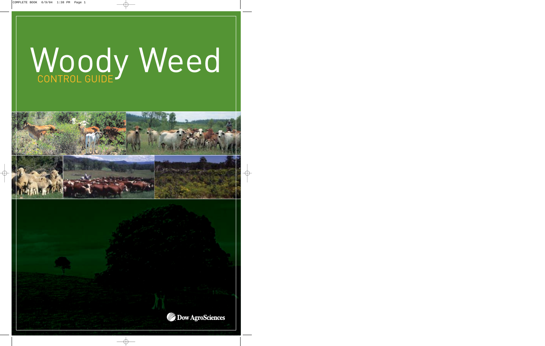# **W** CONTROL GUIDE oody Weed



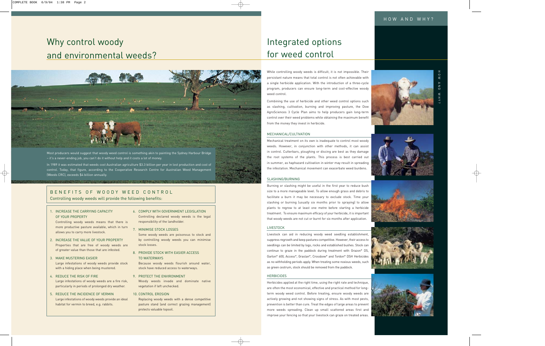- 1. INCREASE THE CARRYING CAPACITY OF YOUR PROPERTY Controlling woody weeds means that there is more productive pasture available, which in turn allows you to carry more livestock.
- 2. INCREASE THE VALUE OF YOUR PROPERTY Properties that are free of woody weeds are of greater value than those that are infested.
- 3. MAKE MUSTERING EASIER Large infestations of woody weeds provide stock with a hiding place when being mustered.
- 4. REDUCE THE RISK OF FIRE Large infestations of woody weeds are a fire risk, particularly in periods of prolonged dry weather.
- 5. REDUCE THE INCIDENCE OF VERMIN Large infestations of woody weeds provide an ideal habitat for vermin to breed, e.g. rabbits.
- 6. COMPLY WITH GOVERNMENT LEGISLATION Controlling declared woody weeds is the legal responsibility of the landholder.
- 7. MINIMISE STOCK LOSSES Some woody weeds are poisonous to stock and by controlling woody weeds you can minimise stock losses.
- 8. PROVIDE STOCK WITH EASIER ACCESS TO WATERWAYS Because woody weeds flourish around water, stock have reduced access to waterways.
- 9. PROTECT THE ENVIRONMENT Woody weeds invade and dominate native vegetation if left unchecked.
- 10. CONTROL EROSION Replacing woody weeds with a dense competitive pasture stand (and correct grazing management) protects valuable topsoil.

### Why control woody and environmental weeds?



### BENEFITS OF WOODY WEED CONTROL

Controlling woody weeds will provide the following benefits:

Most producers would suggest that woody weed control is something akin to painting the Sydney Harbour Bridge – it's a never-ending job, you can't do it without help and it costs a lot of money.

In 1989 it was estimated that weeds cost Australian agriculture \$3.3 billion per year in lost production and cost of control. Today, that figure, according to the Cooperative Research Centre for Australian Weed Management (Weeds CRC), exceeds \$4 billion annually.

While controlling woody weeds is difficult, it is not impossible. Their persistant nature means that total control is not often achievable with a single herbicide application. With the introduction of a three-cycle program, producers can ensure long-term and cost-effective woody weed control.

Combining the use of herbicide and other weed control options such as slashing, cultivation, burning and improving pasture, the Dow AgroSciences 3 Cycle Plan aims to help producers gain long-term control over their weed problems while obtaining the maximum benefit from the money they invest in herbicide.

### MECHANICAL/CULTIVATION

Mechanical treatment on its own is inadequate to control most woody weeds. However, in conjunction with other methods, it can assist in control. Cutterbars, ploughing or discing are best as they damage the root systems of the plants. This process is best carried out in summer, as haphazard cultivation in winter may result in spreading the infestation. Mechanical movement can exacerbate weed burdens.

### SLASHING/BURNING

Burning or slashing might be useful in the first year to reduce bush size to a more manageable level. To allow enough grass and debris to facilitate a burn it may be necessary to exclude stock. Time your slashing or burning (usually six months prior to spraying) to allow plants to regrow to at least one metre before starting a herbicide treatment. To ensure maximum efficacy of your herbicide, it is important that woody weeds are not cut or burnt for six months after application.

### LIVESTOCK

Livestock can aid in reducing woody weed seedling establishment, suppress regrowth and keep pastures competitive. However, their access to seedlings can be limited by logs, rocks and established bushes. Stock can continue to graze in the paddock during treatment with Grazon\* DS, Garlon\* 600, Access\*, Graslan\*, Crossbow\* and Tordon\* DSH Herbicides as no withholding periods apply. When treating some noxious weeds, such as green cestrum, stock should be removed from the paddock.

### **HERBICIDES**

Herbicides applied at the right time, using the right rate and technique, are often the most economical, effective and practical method for longterm woody weed control. Before treating, ensure woody weeds are actively growing and not showing signs of stress. As with most pests, prevention is better than cure. Treat the edges of large areas to prevent more weeds spreading. Clean up small scattered areas first and improve your fencing so that your livestock can graze on treated areas.

### Integrated options for weed control

### HOW AND WHY?



HOW AND WHY?







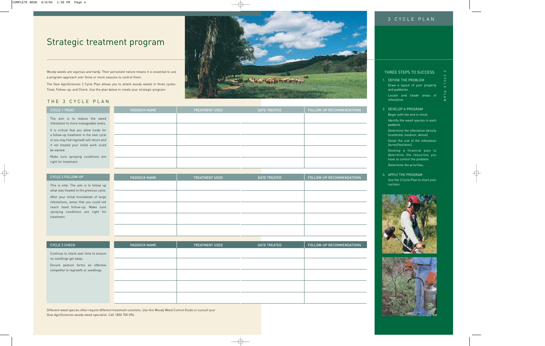### 3 CYCLE PLAN

### Strategic treatment program

Woody weeds are vigorous and hardy. Their persistant nature means it is essential to use a program-approach over three or more seasons to control them.

The Dow AgroSciences 3 Cycle Plan allows you to attack woody weeds in three cycles: Treat; Follow-up; and Check. Use the plan below to create your strategic program.

### THE 3 CYCLE PLAN



| <b>CYCLE 1 TREAT</b>                                                                | <b>PADDOCK NAME</b> | <b>TREATMENT USED</b> | <b>DATE TREATED</b> | FOLLOW-UP RECOMMENDATIONS |
|-------------------------------------------------------------------------------------|---------------------|-----------------------|---------------------|---------------------------|
| The aim is to reduce the weed<br>infestation to more manageable levels.             |                     |                       |                     |                           |
| It is critical that you allow funds for                                             |                     |                       |                     |                           |
| a follow-up treatment in the next cycle<br>or you may find regrowth will return and |                     |                       |                     |                           |
| if not treated your initial work could<br>be wasted.                                |                     |                       |                     |                           |
| Make sure spraying conditions are<br>right for treatment.                           |                     |                       |                     |                           |
|                                                                                     |                     |                       |                     |                           |

| <b>CYCLE 2 FOLLOW-UP</b>               |  |
|----------------------------------------|--|
| This is vital. The aim is to follow up |  |

what was treated in the previous cycle.

| After your initial knockdown of large  |  |  |  |  |  |  |  |  |  |  |
|----------------------------------------|--|--|--|--|--|--|--|--|--|--|
| infestations, areas that you could not |  |  |  |  |  |  |  |  |  |  |
| reach need follow-up. Make sure        |  |  |  |  |  |  |  |  |  |  |
| spraying conditions are right for      |  |  |  |  |  |  |  |  |  |  |
| treatment.                             |  |  |  |  |  |  |  |  |  |  |

| <b>PADDOCK NAME</b> | <b>TREATMENT USED</b> | <b>DATE TREATED</b> | FOLLOW-UP RECOMMENDATIONS |
|---------------------|-----------------------|---------------------|---------------------------|
|                     |                       |                     |                           |
|                     |                       |                     |                           |
|                     |                       |                     |                           |
|                     |                       |                     |                           |
|                     |                       |                     |                           |
|                     |                       |                     |                           |
|                     |                       |                     |                           |

| <b>CYCLE 3 CHECK</b>                                            | PADDOCK NAME | <b>TREATMENT USED</b> | <b>DATE TREATED</b> | FOLLOW-UP RECOMMENDATIONS |
|-----------------------------------------------------------------|--------------|-----------------------|---------------------|---------------------------|
| Continue to check over time to ensure<br>no seedlings get away. |              |                       |                     |                           |
| Ensure pasture forms an effective                               |              |                       |                     |                           |
| competitor to regrowth or seedlings.                            |              |                       |                     |                           |
|                                                                 |              |                       |                     |                           |
|                                                                 |              |                       |                     |                           |

Different weed species often require different treatment solutions. Use this Woody Weed Control Guide or consult your Dow AgroSciences woody weed specialist. Call 1800 700 096.

### THREE STEPS TO SUCCESS

1. DEFINE THE PROBLEM Draw a layout of your property and paddocks.

3 CYCLE PLAN

 $\circ$  $\mathbf{m}$ 

 $\circ$ 

- Locate and shade areas of infestation.
- 2. DEVELOP A PROGRAM Begin with the end in mind. Identify the weed species in each
	- paddock.
	- Determine the infestation density (scattered, medium, dense).
	- Detail the size of the infestation (acres/hectares).
	- Develop a financial plan to determine the resources you have to control the problem. Determine the priorities.
- 3. APPLY THE PROGRAM Use the 3 Cycle Plan to chart your success.



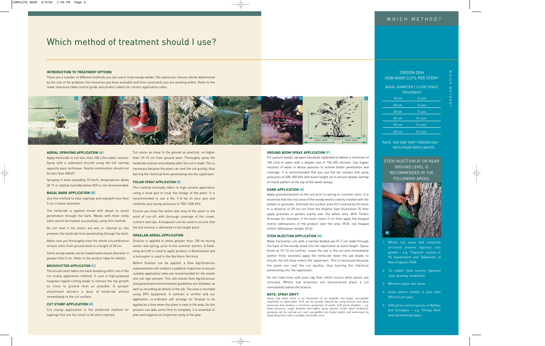### Which method of treatment should I use?

### **INTRODUCTION TO TREATMENT OPTIONS**

There are a number of different methods you can use to treat woody weeds. The option you choose will be determined by the size of the problem, the resources you have available and time constraints you are working within. Refer to the ready reference table control guide and product labels for correct application rates.



### **AERIAL SPRAYING APPLICATION (A)**

Spray with a calibrated aircraft using the full overlap herbicidemixture immediatelyafter the cutis made. This is opposite pass technique. Nozzle combination should not necessary because the plant can seal the cut quickly, thus Apply herbicide in not less than 200 L/ha water volume. be less than D8/45°.

Spraying in wind exceeding 10 km/h, temperatures above 30 °C or relative humidity below 50% is not recommended.

### **BASAL BARK APPLICATION (B)**

Use this method to treat saplings and regrowth less than recommended to use a No. 5–8 tip on your gun and 5 cm in basal diameter.

The herbicide is applied mixed with diesel to assist Ensure you treat the entire leaf area of the plant to the penetration through the bark. Weeds with thick corky point of run-off, with thorough coverage of the crown, bark cannot be treated successfully using this method.

Do not treat if the stems are wet or charred as this prevents the herbicide from penetrating through the bark.

of each stem from ground level to a height of 30 cm.

Some woody weeds can be treated when basal diameter is greater than 5 cm. Refer to the product label for details.

### **BRUSHCUTTER APPLICATION (C)**

The brushcutter takes the back-breaking effort out of the cut stump application method. It uses a high-powered tungsten-tipped cutting blade to remove the top growth as close to ground level as possible. A sprayer attachment delivers a dose of herbicide almost immediately to the cut surface.

### **CUT STUMP APPLICATION (D)**

Cut stump application is the preferred method for saplings that are too small to be stem injected.

Cut stems as close to the ground as practical, no higher than 10–15 cm from ground level. Thoroughly spray the barring the chemical from penetrating into the sapstream.

### **FOLIAR SPRAY APPLICATION (E)**

This method normally refers to high volume application using a hand gun to treat the foliage of the plant. It is calibrate your pump pressure to 700–1500 kPa.

runners and tips. A knapsack can be used to ensure that the full volume is delivered to the target plant.

#### **GRASLAN AERIAL APPLICATION**

Make sure you thoroughly treat the whole circumference  $\;$  Graslan is applied to areas greater than 100 ha during winter and spring, prior to the summer storms. A fixedwing aircraft is used to apply product in Queensland and a helicopter is used in the Northern Territory.

> Before Graslan can be applied, a Dow AgroSciences representative will conduct a paddock inspection to ensure suitable application rates are recommended for the weeds and soil type present. This will ensure Dow AgroSciences and government environmental guidelines are followed, as well as recording all details of the job. The area is recorded using GPS equipment. A contract is written and our application co-ordinator will arrange for Graslan to be applied at a time when the plane is next in the area. As this process can take some time to complete, it is essential to plan and organise an inspection early in the year.

### **GROUND BOOM SPRAY APPLICATION (F)**

For pasture weeds, sprayers should be calibrated to deliver a minimum of 100 L/ha of water with a droplet size of 150–350 microns. Use higher volumes of water in dense pastures to achieve better penetration and coverage. It is recommended that you use flat fan nozzles and spray pressures of 200–300 kPa with boom height set to ensure double overlap of nozzle pattern at the top of the weed canopy.

### **HAND APPLICATION (G)**

Apply granules/pellets to the soil prior to spring or summer rains. It is essential that the root area of the woody weed is evenly treated with the pellets or granules. Estimate the surface area (m $^{\rm 2}$ ) covered by the bush to a distance of 30 cm out from the dripline (see illustration G) then apply granules or pellets evenly over the whole area. With Tordon Granules for example, if the bush covers  $5 \text{ m}^2$  then apply five heaped metric tablespoons of the product over the area. (N.B. one heaped metric tablespoon weighs 45 g).

#### **STEM INJECTION APPLICATION (H)**

Make horizontal cuts with a narrow-bladed axe (5–7 cm wide) through the bark of the woody weed into the sapstream at waist height. Space these at 10–13 cm centres. Leave the axe in the cut and immediately (within three seconds) apply the herbicide down the axe blade, to ensure the full dose enters the sapstream. This is necessary because the plant can seal the cut quickly, thus barring the chemical penetrating into the sapstream.

Do not treat trees with poor sap flow, which occurs when plants are stressed. Where low branches are encountered place a cut immediately below the branch.

#### **NOTE: SPRAY DRIFT**

Spray only when there is no movement of air towards non-target, susceptible vegetation or waterways. Drift can be greatly reduced by using nozzles and spray pressures that produce a minimum proportion of small, drift-prone droplets – e.g. lower pressure, larger droplets and higher spray volume. Under ideal conditions, spraying can be carried out near susceptible non-target plants and waterways by separating them with a suitable size buffer area.

|                                                         | <b>TORDON DSH</b> |  |  |  |  |  |  |  |  |  |
|---------------------------------------------------------|-------------------|--|--|--|--|--|--|--|--|--|
| <b>HOW MANY CUTS PER STEM?</b>                          |                   |  |  |  |  |  |  |  |  |  |
| <b>BASAL DIAMETER / CLOSE SPACE</b><br><b>TREATMENT</b> |                   |  |  |  |  |  |  |  |  |  |
| $10 \text{ cm}$                                         | 3 cuts            |  |  |  |  |  |  |  |  |  |
| $20 \text{ cm}$                                         | 5 cuts            |  |  |  |  |  |  |  |  |  |
| 30 cm                                                   | 7 cuts            |  |  |  |  |  |  |  |  |  |
| 40 cm                                                   | 10 cuts           |  |  |  |  |  |  |  |  |  |
| $50 \text{ cm}$                                         | 12 cuts           |  |  |  |  |  |  |  |  |  |
| 60cm                                                    | 14 cuts           |  |  |  |  |  |  |  |  |  |

WHICH METHOD?

NETHOD

**WHICH** 

RATE: MIX ONE PART TORDON DSH WITH FOUR PARTS WATER

STEM INJECTION AT OR NEAR GROUND LEVEL IS RECOMMENDED IN THE FOLLOWING AREAS:



- 1. Where soil types and substrata structure prevent vigorous root growth – e.g. 'Traprock' country in SE Queensland and Tablelands of New England, NSW.
- 2. So called 'hard country' (general poor growing conditions).
- 3. Western poplar box areas.
- 4. Areas where rainfall is less than 500 mm per year.
- 5. Difficult to control species of Wattles and Eucalypts – e.g. Stringy Bark and sap bleeding types.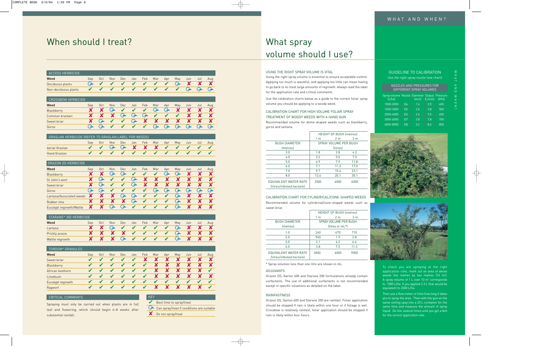✔ Best time to spray/treat

Can spray/treat if conditions are suitable

✘ Do not spray/treat

### When should I treat?

| <b>ACCESS HERBICIDE</b>         |                         |                         |                             |                            |          |                  |                    |                            |                  |                         |                         |                              |
|---------------------------------|-------------------------|-------------------------|-----------------------------|----------------------------|----------|------------------|--------------------|----------------------------|------------------|-------------------------|-------------------------|------------------------------|
| Weed                            | Sep                     | Oct                     | Nov                         | <b>Dec</b>                 | Jan      | Feb              | Mar                | Apr                        | May              | Jun                     | Jul                     | Aug                          |
| Deciduous plants                | G                       | V                       | V                           | V                          | V        | V                | V                  | V                          | ↩                | X                       | X                       | X                            |
| Non-deciduous plants            |                         | $\boldsymbol{V}$        | V                           | $\boldsymbol{\mathcal{U}}$ | V        | $\boldsymbol{V}$ | V                  |                            |                  | ✑                       | G                       |                              |
|                                 |                         |                         |                             |                            |          |                  |                    |                            |                  |                         |                         |                              |
| <b>CROSSBOW HERBICIDE</b>       |                         |                         |                             |                            |          |                  |                    |                            |                  |                         |                         |                              |
| Weed                            | Sep                     | Oct                     | Nov                         | <b>Dec</b>                 | Jan      | Feb              | Mar                | Apr                        | May              | Jun                     | Jul                     | Aug                          |
| Blackberry                      | X                       | X                       | ⇦                           | V                          | V        | V                | ⇦                  | Ģ                          | X                | X                       | X                       | X                            |
| Common bracken                  | X                       | X                       | X                           | Ģ                          | Ģ        | G                | $\boldsymbol{V}$   | $\overline{\mathbf{v}}$    | $\boldsymbol{V}$ | X                       | X                       | X                            |
| Sweet briar                     | X                       | Ģ                       | V                           |                            |          | X                | X                  | X                          | X                | X                       | X                       | X                            |
| Gorse                           | ᢙ                       | $\mathbb{Q}$            |                             |                            |          |                  | $\mathbf Q$        | $\overline{G}$             | $\overline{G}$   | $\mathbf Q$             | $\tilde{\mathbf{G}}$    |                              |
|                                 |                         |                         |                             |                            |          |                  |                    |                            |                  |                         |                         |                              |
| <b>GRASLAN HERBICIDE (REFER</b> |                         |                         | TO GRASLAN LABEL FOR WEEDS) |                            |          |                  |                    |                            |                  |                         |                         |                              |
|                                 | Sep                     | 0 <sub>ct</sub>         | Nov                         | Dec                        | Jan      | Feb              | Mar                | Apr                        | May              | Jun                     | Jul                     | Aug                          |
| Aerial Graslan                  |                         | V                       | Ģ                           | Ģ                          | X        | X                | X                  | V                          | V                | V                       | V                       |                              |
| <b>Hand Graslan</b>             |                         |                         |                             |                            | V        |                  | V                  | $\boldsymbol{\mathcal{U}}$ |                  |                         |                         |                              |
| <b>GRAZON DS HERBICIDE</b>      |                         |                         |                             |                            |          |                  |                    |                            |                  |                         |                         |                              |
|                                 |                         |                         |                             |                            |          |                  |                    |                            |                  |                         |                         |                              |
| Weed                            | Sep<br>X                | 0 <sub>ct</sub><br>X    | Nov<br>G                    | <b>Dec</b><br>Ģ            | Jan<br>V | Feb<br>V         | Mar<br>V           | Apr<br>Ģ                   | May<br>Ģ         | Jun<br>X                | Jul<br>X                | Aug<br>X                     |
| Blackberry                      | X                       |                         | V                           | $\boldsymbol{\mathcal{U}}$ |          | X                | X                  | $\overline{\textbf{x}}$    | X                | X                       | $\overline{\textbf{x}}$ | $\overline{\textbf{x}}$      |
| St John's wort                  |                         | Ģ                       |                             |                            | G        |                  |                    |                            |                  |                         |                         |                              |
| Sweet briar                     | X                       | Ģ                       | V                           | $\boldsymbol{V}$           | Ģ        | X                | X                  | X                          | X                | X                       | X                       | $\overline{\textbf{x}}$<br>٦ |
| Gorse                           | Э                       | $\mathbf Q$             | V                           |                            |          | V                | G                  | $\widetilde{\mathbf{G}}$   | Ģ                | ٦                       | $\overline{\mathbb{Q}}$ |                              |
| Lantana/Associated weeds        | $\overline{\textbf{x}}$ | $\overline{\textbf{x}}$ | X                           | Ģ                          | Ģ        | $\boldsymbol{V}$ | V                  | V                          | $\overline{G}$   | $\overline{\textbf{x}}$ | $\overline{\textbf{x}}$ | $\overline{\textbf{x}}$      |
| Rubber vine                     | X                       | X                       | $\overline{\mathbf{x}}$     | $\overline{\textbf{x}}$    | Ģ        | V                | V                  | V                          | Ģ                | $\overline{\mathbf{x}}$ | $\overline{\textbf{x}}$ | $\overline{\textbf{x}}$      |
| Eucalypt regrowth/Wattle        | X                       | X                       | $\overline{G}$              | لين                        |          |                  | $\boldsymbol{\nu}$ |                            | G                | $\overline{\textbf{x}}$ | $\overline{\textbf{x}}$ | $\overline{\textbf{x}}$      |
|                                 |                         |                         |                             |                            |          |                  |                    |                            |                  |                         |                         |                              |
| STARANE* 200 HERBICIDE          |                         |                         |                             |                            |          |                  |                    |                            |                  |                         |                         |                              |

| Weed            | Sep | 0ct | Nov | Dec | Jan | Feb | Mar | Apr | May | Jun | Jul | Aug |
|-----------------|-----|-----|-----|-----|-----|-----|-----|-----|-----|-----|-----|-----|
| Lantana         |     |     |     | Ø   |     | V   |     |     |     |     |     |     |
| Prickly acacia  |     |     |     |     |     | V   |     |     |     |     |     |     |
| Wattle regrowth |     |     |     |     |     | v   |     |     |     |     |     |     |

| 'TORDON* GRANULES |     |                    |              |     |           |                  |     |                    |     |     |     |                           |
|-------------------|-----|--------------------|--------------|-----|-----------|------------------|-----|--------------------|-----|-----|-----|---------------------------|
| Weed              | Sep | Oct                | <b>Nov</b>   | Dec | Jan       | <b>Feb</b>       | Mar | Apr                | May | Jun | Jul | Aug                       |
| Sweet briar       |     | V                  |              |     | IV.       |                  | X   |                    |     |     |     | X                         |
| Blackberry        |     | $\boldsymbol{V}$   | $\bullet$    | v   | M         | V                | Х   |                    |     |     |     | $\boldsymbol{\mathsf{x}}$ |
| African boxthorn  |     | $\boldsymbol{\nu}$ | $\mathbf{v}$ | v   | v         | V                | Ж   |                    |     |     |     | V                         |
| Limebush          |     | v                  | $\mathbf{v}$ | V   | v         | V                | X   |                    |     |     |     |                           |
| Eucalypt regrowth |     |                    |              | v   |           | $\boldsymbol{V}$ | v   | $\boldsymbol{\nu}$ | Ø   |     | Ø   | $\boldsymbol{\nu}$        |
| Ragwort           |     | v                  | a z          | Ø   | $\bullet$ | $\sqrt{2}$       | Х   |                    |     |     |     | $\boldsymbol{\nu}$        |

### CRITICAL COMMENTS

Spraying must only be carried out when plants are in full leaf and flowering, which should begin 6–8 weeks after substantial rainfall.

### KEY

### USING THE RIGHT SPRAY VOLUME IS VITAL

Using the right spray volume is essential to ensure acceptable control. Applying too much is wasteful, and applying too little can mean having to go back to re-treat large amounts of regrowth. Always read the label for the application rate and critical comments.

Use the calibration charts below as a guide to the correct foliar spray volume you should be applying to a woody weed.

### CALIBRATION CHART FOR HIGH VOLUME FOLIAR SPRAY TREATMENT OF WOODY WEEDS WITH A HAND GUN

Recommended volume for dome-shaped weeds such as blackberry, gorse and lantana.

### What spray volume should I use?

### CALIBRATION CHART FOR CYLINDRICAL/CONE-SHAPED WEEDS

Recommended volume for cylindrical/cone-shaped weeds such as sweet briar.

|                                                    | <b>HEIGHT OF BUSH (metres)</b> |                       |                |  |  |  |
|----------------------------------------------------|--------------------------------|-----------------------|----------------|--|--|--|
|                                                    | 1 <sub>m</sub>                 | 2 <sub>m</sub>        | 3 <sub>m</sub> |  |  |  |
| <b>BUSH DIAMETER</b>                               |                                | SPRAY VOLUME PER BUSH |                |  |  |  |
| (metres)                                           |                                | (litres or mL*)       |                |  |  |  |
| 1.0                                                | 240                            | 470                   | 710            |  |  |  |
| 2.0                                                | 940                            | 1.9                   | 2.8            |  |  |  |
| 3.0                                                | 2.1                            | 4.2                   | 6.4            |  |  |  |
| 4.0                                                | 3.8                            | 7.5                   | 11.3           |  |  |  |
| EQUIVALENT WATER RATE<br>(litres/infested hectare) | 3000                           | 6000                  | 9000           |  |  |  |

\* Spray volumes less than one litre are shown in mL.

|                                                    | <b>HEIGHT OF BUSH (metres)</b> |                       |                |  |  |  |
|----------------------------------------------------|--------------------------------|-----------------------|----------------|--|--|--|
|                                                    | 1 <sub>m</sub>                 | 2 <sub>m</sub>        | 3 <sub>m</sub> |  |  |  |
| <b>BUSH DIAMETER</b>                               |                                | SPRAY VOLUME PER BUSH |                |  |  |  |
| (metres)                                           |                                | (litres)              |                |  |  |  |
| 3.0                                                | 1.8                            | 2.8                   | 4.2            |  |  |  |
| 4.0                                                | 3.2                            | 5.0                   | 7.5            |  |  |  |
| 5.0                                                | 4.9                            | 7.9                   | 11.8           |  |  |  |
| 6.0                                                | 7.1                            | 11.3                  | 17.0           |  |  |  |
| 7.0                                                | 9.7                            | 15.4                  | 23.1           |  |  |  |
| 8.0                                                | 12.6                           | 20.1                  | 30.1           |  |  |  |
| EQUIVALENT WATER RATE<br>(litres/infested hectare) | 2500                           | 4000                  | 6000           |  |  |  |
|                                                    |                                |                       |                |  |  |  |







### ADJUVANTS

Grazon DS, Garlon 600 and Starane 200 formulations already contain surfactants. The use of additional surfactants is not recommended except in specific situations as detailed on the label.

### RAINFASTNESS

Grazon DS, Garlon 600 and Starane 200 are rainfast. Foliar application should be stopped if rain is likely within one hour or if foliage is wet. Crossbow is relatively rainfast, foliar application should be stopped if rain is likely within four hours.

### GUIDELINE TO CALIBRATION Use the right spray nozzle (see chart)

| Spray volume Nozzle Diameter Output Pressure<br>(L/ha) |                | [mm] | L/min | (kPal |
|--------------------------------------------------------|----------------|------|-------|-------|
| 1000-2000                                              | D4             | 1.6  | 25    | 400   |
| 1500-3000                                              | D <sub>5</sub> | 20   | 38    | 500   |
| 2000-4000                                              | D6             | 24   | 5.5   | 600   |
| 3000-6000                                              | D7             | 28   | 78    | 700   |
| 4000-8000                                              | D8             | 32   | 8.6   | 800   |

### NOZZLES AND PRESSURES FOR DIFFERENT SPRAY VOLUMES

To check you are spraying at the right application rate, mark out an area of dense weeds five metres by two metres (10 m²). A spray volume of  $1 L$  over  $10 m^2$  corresponds to 1000 L/ha. If you applied 2.3 L that would be equivalent to 2300 L/ha.

Then use a flow meter or time how long it takes you to spray the area. Then with the gun on the same setting spay into a 20 L container for the same time and measure the amount of spray liquid. Do this several times until you get a feel for the correct application rate.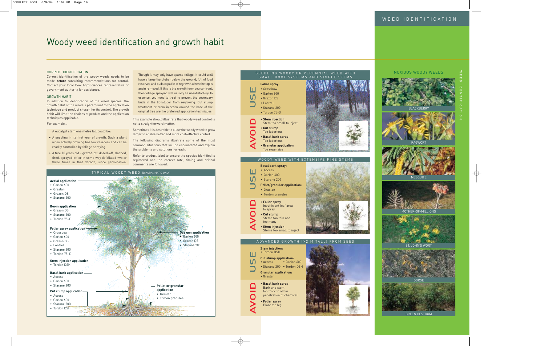### CORRECT IDENTIFICATION

Correct identification of the woody weeds needs to be made **before** consulting recommendations for control. Contact your local Dow AgroSciences representative or government authority for assistance.

### GROWTH HABIT

In addition to identification of the weed species, the growth habit of the weed is paramount to the application technique and product chosen for its control. The growth habit will limit the choices of product and the application techniques applicable.

#### For example…

A eucalypt stem one metre tall could be:

- A seedling in its first year of growth. Such a plant when actively growing has few reserves and can be readily controlled by foliage spraying.
- A tree 10 years old grazed-off, dozed-off, slashed, fired, sprayed-off or in some way defoliated two or three times in that decade, since germination.

### Woody weed identification and growth habit

Though it may only have sparse foliage, it could well have a large lignotuber below the ground, full of food reserves and buds capable of regrowth when the top is again removed. If this is the growth form you confront, then foliage spraying will usually be unsatisfactory. In essence, you need to treat to prevent the secondary buds in the lignotuber from regrowing. Cut stump treatment or stem injection around the base of the original tree are the preferred application techniques.

### This example should illustrate that woody weed control is not a straightforward matter.

Sometimes it is desirable to allow the woody weed to grow larger to enable better and more cost-effective control.



The following diagrams illustrate some of the most common situations that will be encountered and explain the problems and solutions for each.

Refer to product label to ensure the species identified is registered and the correct rate, timing and critical comments are followed.

### SEEDLING WOODY OR PERENNIAL WEED WITH SMALL ROOT SYSTEMS AND SIMPLE STEMS





∩

◁



### NOXIOUS WOODY WEEDS



GREEN CESTRUM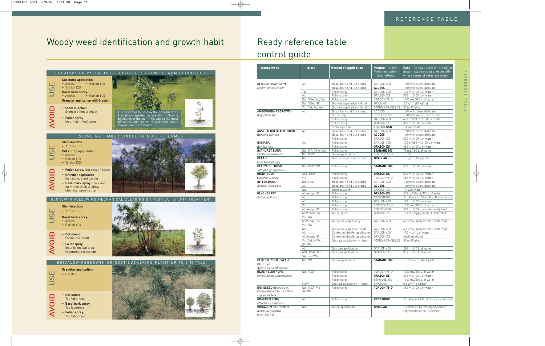| <b>Woody weed</b>            | <b>State</b>      | <b>Method of application</b>   | <b>Product - Note:</b><br>Preferred option<br>in bold letters. | Rate - Consult label for details of<br>growth stage and use, especially<br>where range of rates are given. |
|------------------------------|-------------------|--------------------------------|----------------------------------------------------------------|------------------------------------------------------------------------------------------------------------|
| AFRICAN BOXTHORN             | All               | Basal bark and Cut stump       | GARLON 600                                                     | 1:30 with diesel distillate                                                                                |
| Lycium ferocissimum          |                   | Basal bark and Cut stump       | <b>ACCESS</b>                                                  | 1:60 with diesel distillate                                                                                |
|                              | Tas               | Foliar spray                   | GARLON 600                                                     | 170 mL/100 L of water                                                                                      |
|                              | All               | Foliar spray                   | <b>GRAZON DS</b>                                               | 500 mL/100 L of water                                                                                      |
|                              | Qld, NSW, Vic, WA | Foliar spray                   | TORDON 75-D                                                    | 1300 mL/100 L of water                                                                                     |
|                              | Qld, NSW, NT      | Granule application - Hand     | GRASLAN                                                        | 2.0 g/m <sup>2</sup> (20 kg/ha)                                                                            |
|                              | Vic, Qld, SA, WA  | Granule application - Hand     | TORDON GRANULES                                                | 35 to 45 $q/m^2$                                                                                           |
| ANGOPHORA REGROWTH           | All               | Basal bark and Cut stump       | <b>ACCESS</b>                                                  | 1:60 with diesel distillate                                                                                |
| Angophora spp.               |                   | Cut stump                      | TORDON DSH                                                     | $1:20$ with water + surfactant                                                                             |
|                              |                   | Foliar spray                   | GARLON 600                                                     | 400 or 560 mL/100 L of water                                                                               |
|                              |                   | Foliar spray                   | <b>GRAZON DS</b>                                               | 350 mL/100 L of water                                                                                      |
|                              |                   |                                | <b>TORDON DSH</b>                                              | 1:4 with water                                                                                             |
|                              |                   | Stem injection                 |                                                                |                                                                                                            |
| <b>AUSTRALIAN BLACKTHORN</b> | All               | Basal bark and Cut stump       | GARLON 600                                                     | 1:60 with diesel distillate                                                                                |
| Bursaria spinosa             |                   | Basal bark and Cut stump       | <b>ACCESS</b>                                                  | 1:60 with diesel distillate                                                                                |
|                              |                   | Foliar spray                   | <b>GRAZON DS</b>                                               | 500 mL/100 L of water                                                                                      |
| <b>BANKSIA</b>               | All               | Foliar spray                   | GARLON 600                                                     | 400 or 560 mL/100 L of water                                                                               |
| Banksia spp.                 |                   | Foliar spray                   | <b>GRAZON DS</b>                                               | 350 mL/100 L of water                                                                                      |
| <b>BATHURST BURR</b>         | Qld, NT, NSW, WA  | Foliar spray                   | <b>STARANE 200</b>                                             | 75 mL/100 L of water                                                                                       |
| Xanthium spinosum            | Qld, NSW          | Boom application               | TORDON 75-D                                                    | 1 L/ha                                                                                                     |
| <b>BELAH</b>                 | Qld               | Granule application - Hand     | <b>GRASLAN</b>                                                 | $1.5$ g/m <sup>2</sup> (15 kg/ha)                                                                          |
| Casuarina pauper             |                   |                                |                                                                |                                                                                                            |
| <b>BELLYACHE BUSH</b>        | Qld, NSW, WA      | Foliar spray                   | <b>STARANE 200</b>                                             | 500 mL/100 L of water                                                                                      |
| Jatropha gossypiifolia       |                   |                                |                                                                |                                                                                                            |
| <b>BIDDY BUSH</b>            | ACT, NSW          | Foliar spray                   | <b>GRAZON DS</b>                                               | 500 mL/100 L of water                                                                                      |
| Cassinia arcuata             | Vic               | Foliar spray                   | TORDON 75-D                                                    | 650 mL/100 L of water                                                                                      |
| <b>BITTER BARK</b>           | Qld, NSW          | Basal bark and Cut stump       | GARLON 600                                                     | 1:60 with diesel distillate                                                                                |
| Alstonia constricta          | All               | Basal bark and Cut stump       | <b>ACCESS</b>                                                  | 1:60 with diesel distillate                                                                                |
|                              | Qld               | Blanket wiper                  | <b>GRAZON DS</b>                                               | 1:4 with water                                                                                             |
| <b>BLACKBERRY</b>            | All except NT     | Foliar spray                   | <b>GRAZON DS</b>                                               | 350 or 500 mL/100 L of water                                                                               |
| Rubus fruticosus             | All               | Foliar spray                   | CROSSBOW                                                       | 30 g Part A + 150 mL Part B + surfactant                                                                   |
|                              | All               | Foliar spray                   | GARLON 600                                                     | 170 mL/100 L of water                                                                                      |
|                              | Vic               |                                | TORDON 75-D                                                    | 1300 mL/100 L of water                                                                                     |
|                              |                   | Foliar spray                   |                                                                |                                                                                                            |
|                              | All except NT     | Foliar spray                   | TORDON DSH                                                     | 500 mL/100 L of water + adjuvant                                                                           |
|                              | NSW, Qld, SA,     | Aerial spray                   | <b>GRAZON DS</b>                                               | 10 L/ha (apply in 200 L water/ha)                                                                          |
|                              | Vic, WA           |                                |                                                                |                                                                                                            |
|                              | NSW, SA, Tas,     | Aerial (helicopter only)       | GARLON 600                                                     | 4.8 L/ha (apply in 200 L water/ha)                                                                         |
|                              | Vic, WA           |                                |                                                                |                                                                                                            |
|                              | Qld               | Aerial (helicopter or fixed)   | GARLON 600                                                     | 4.8 L/ha (apply in 200 L water/ha)                                                                         |
|                              | All               | Controlled droplet application | GARLON 600                                                     | 170 mL/1 L of water                                                                                        |
|                              | All except NT     | Controlled droplet application | <b>GRAZON DS</b>                                               | Apply undiluted                                                                                            |
|                              | Vic, Qld, NSW,    | Granule application - Hand     | TORDON GRANULES                                                | 35 to 45 g/m <sup>2</sup>                                                                                  |
|                              | SA, WA            |                                |                                                                |                                                                                                            |
|                              | All               | Gas gun application            | GARLON 600                                                     | 280 mL/10 L of water                                                                                       |
|                              | ACT, NSW, Qld,    | Gas gun application            | <b>GRAZON DS</b>                                               | 335 mL/10 L of water                                                                                       |
|                              | SA, Tas, WA       |                                |                                                                |                                                                                                            |
| <b>BLUE BILLYGOAT WEED</b>   | Qld, WA           | Boom application               | <b>STARANE 200</b>                                             | 1.5 L/ha + 1 L/ha Uptake                                                                                   |
| (Blue top)                   |                   |                                |                                                                |                                                                                                            |
| Ageratum houstonianum        |                   |                                |                                                                |                                                                                                            |
| <b>BLUE HELIOTROPE</b>       | Qld. NSW          | Foliar spray                   | TORDON 75-D                                                    | 1000 mL/100 L of water                                                                                     |
| Heliotropium amplexicaule    |                   | Foliar spray                   | <b>GRAZON DS</b>                                               | 500 mL/100 L of water                                                                                      |
|                              |                   | Foliar spray                   | STARANE 200                                                    | 1000 mL/100 L of water                                                                                     |
|                              |                   |                                |                                                                |                                                                                                            |
|                              | <b>NSW</b>        | Granule application - Hand     | GRASLAN                                                        | $0.5$ g/m <sup>2</sup> (5 kg/ha)                                                                           |
| <b>BONESEED</b> (Bitou Bush) | Qld, NSW, Vic,    | Foliar spray                   | <b>TORDON 75-D</b>                                             | 650 mL/100 L of water                                                                                      |
| Chrysanthemoides monilifera  | SA, WA            |                                |                                                                |                                                                                                            |
| ssp. monilifera              |                   |                                |                                                                |                                                                                                            |
| <b>BRACKEN FERN</b>          | All               | Foliar spray                   | <b>CROSSBOW</b>                                                | 30 g Part A + 150 mL Part B + surfactant                                                                   |
| Pteridium esculentum         |                   |                                |                                                                |                                                                                                            |
| <b>BRIGALOW REGROWTH</b>     | Qld               | Aerial application             | <b>GRASLAN</b>                                                 | Determined by Dow AgroSciences                                                                             |
| Acacia harpophylla           |                   |                                |                                                                | representative on inspection                                                                               |
|                              |                   |                                |                                                                |                                                                                                            |

## Woody weed identification and growth habit

|              |                                                                                                                                                                                | EUCALYPT OR PAPER BARK TEA-TREE REGROWTH FROM LIGNOTUBER                                                                                                                                                                   |
|--------------|--------------------------------------------------------------------------------------------------------------------------------------------------------------------------------|----------------------------------------------------------------------------------------------------------------------------------------------------------------------------------------------------------------------------|
| <b>JSE</b>   | <b>Cut stump application:</b><br>• Garlon 600<br>• Access<br>• Tordon DSH<br><b>Basal bark spray:</b><br>• Garlon 600<br>• Access<br><b>Granular application with Graslan</b>  |                                                                                                                                                                                                                            |
| <b>AVOID</b> | • Stem injection<br>Stem too thin to inject<br>• Foliar spray<br>Insufficient leaf cover                                                                                       | It is essential to destroy the lignotuber as<br>it enables repeated regeneration following<br>defoliation of the stem. This can be the most<br>difficult situation to control and some plants<br>may require re-treatment. |
|              |                                                                                                                                                                                | STANDING TIMBER SINGLE OR MULTI-STEMMED                                                                                                                                                                                    |
| <b>USE</b>   | <b>Stem injection:</b><br>• Tordon DSH<br><b>Cut stump application:</b><br>• Access<br>• Garlon 600<br>• Tordon DSH                                                            |                                                                                                                                                                                                                            |
| <b>AVOID</b> | • Foliar spray. Not cost effective<br>• Granular application<br>Ineffective, plant too big<br>• Basal bark spray. Bark and<br>stem, too thick to allow<br>chemical penetration |                                                                                                                                                                                                                            |
|              |                                                                                                                                                                                | REGROWTH FOLLOWING MECHANICAL CLEARING OR POOR CUT STUMP TREATMENT                                                                                                                                                         |
| <b>USE</b>   | <b>Stem injection:</b><br>• Tordon DSH<br><b>Basal bark spray:</b><br>• Access<br>• Garlon 600                                                                                 |                                                                                                                                                                                                                            |
| <b>NOI</b>   | • Cut stump<br>Stems too small<br>• Foliar spray<br>Insufficient leaf area<br>to control root system                                                                           |                                                                                                                                                                                                                            |
|              |                                                                                                                                                                                | BRIGALOW REGROWTH OR ROOT SUCKERING PLANT UP TO 3 M TALL                                                                                                                                                                   |
| USE          | <b>Granular application:</b><br>• Graslan                                                                                                                                      |                                                                                                                                                                                                                            |
| <b>AVOID</b> | • Cut stump,<br>Too laborious<br>• Basal bark spray,<br><b>Too laborious</b><br>• Foliar spray,<br>Too laborious                                                               |                                                                                                                                                                                                                            |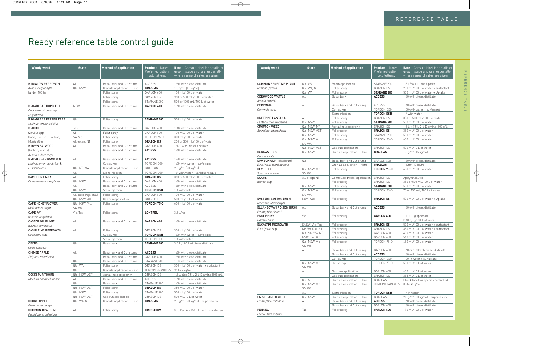| <b>Woody weed</b>                                  | <b>State</b>             | <b>Method of application</b>                         | <b>Product - Note:</b><br>Preferred option<br>in bold letters. | <b>Rate</b> - Consult label for details of<br>growth stage and use, especially<br>where range of rates are given. |
|----------------------------------------------------|--------------------------|------------------------------------------------------|----------------------------------------------------------------|-------------------------------------------------------------------------------------------------------------------|
| <b>COMMON SENSITIVE PLANT</b>                      | Qld, WA                  | Boom application                                     | STARANE 200                                                    | 1.5 L/ha + 1 L/ha Uptake                                                                                          |
| Mimosa pudica                                      | Qld, WA, NT              | Foliar spray                                         | <b>GRAZON DS</b>                                               | 200 mL/100 L of water + surfactant                                                                                |
|                                                    | Qld, WA                  | Foliar spray                                         | <b>STARANE 200</b>                                             | 500 mL/100 L of water + Uptake                                                                                    |
| <b>CORKWOOD WATTLE</b>                             | All                      | Basal bark                                           | <b>ACCESS</b>                                                  | 1:60 with diesel distillate                                                                                       |
| Acacia bidwillii                                   |                          |                                                      |                                                                |                                                                                                                   |
| <b>CORYMBIA</b>                                    | All                      | Basal bark and Cut stump                             | <b>ACCESS</b>                                                  | 1:60 with diesel distillate                                                                                       |
| Corymbia spp.                                      |                          | Cut stump                                            | TORDON DSH                                                     | 1:20 with water + surfactant                                                                                      |
|                                                    |                          | Stem injection                                       | <b>TORDON DSH</b>                                              | 1:4 with water                                                                                                    |
| <b>CREEPING LANTANA</b>                            | All                      | Foliar spray                                         | <b>GRAZON DS</b>                                               | 350 or 500 mL/100 L of water                                                                                      |
| Lantana montevidensis                              | Qld, NSW                 | Foliar spray                                         | <b>STARANE 200</b>                                             | 500 mL/100 L of water                                                                                             |
| <b>CROFTON WEED</b>                                | Qld, NSW, NT             | Aerial (helicopter only)                             | <b>GRAZON DS</b>                                               | 1.5 L + 7.5 L 2,4-D amine (500 g/L)                                                                               |
| Ageratina adenophora                               | Qld, NSW, ACT            | Foliar spray                                         | <b>GRAZON DS</b>                                               | 350 mL/100 L of water                                                                                             |
|                                                    | Qld, NSW                 | Foliar spray                                         | STARANE 200                                                    | 500 mL/100 L of water                                                                                             |
|                                                    | Qld, NSW, Vic.<br>SA, WA | Foliar spray                                         | TORDON 75-D                                                    | 650 mL/100 L of water                                                                                             |
|                                                    | Qld, NSW, ACT            | Gas gun application                                  | <b>GRAZON DS</b>                                               | 500 mL/10 L of water                                                                                              |
| <b>CURRANT BUSH</b><br>Carissa ovata               | Qld, NSW                 | Granule application - Hand                           | <b>GRASLAN</b>                                                 | $1.5$ g/m <sup>2</sup> (15 kg/ha)                                                                                 |
| <b>DAWSON GUM (Blackbutt)</b>                      | Qld                      | Basal bark and Cut stump                             | GARLON 600                                                     | 1:30 with diesel distillate                                                                                       |
| Eucalyptus cambageana                              |                          | Granule application - Hand                           | <b>GRASLAN</b>                                                 | $1$ g/m <sup>2</sup> (10 kg/ha)                                                                                   |
| <b>DEVIL'S FIG</b><br>Solanum torvum               | Qld, NSW, Vic,<br>SA, WA | Foliar spray                                         | <b>TORDON 75-D</b>                                             | 650 mL/100 L of water                                                                                             |
| <b>DOCKS</b>                                       | All except NT            | Controlled droplet application                       | <b>GRAZON DS</b>                                               | Apply undiluted                                                                                                   |
| Rumex spp.                                         |                          | Foliar spray                                         | <b>GRAZON DS</b>                                               | 350 or 500 mL/100 L of water                                                                                      |
|                                                    | Qld, NSW                 | Foliar spray                                         | <b>STARANE 200</b>                                             | 500 mL/100 L of water                                                                                             |
|                                                    | Qld, NSW, Vic,<br>SA, WA | Foliar spray                                         | TORDON 75-D                                                    | 75 or 150 mL/100 L of water                                                                                       |
| <b>EASTERN COTTON BUSH</b><br>Maireana Microphylla | NSW, Qld                 | Foliar spray                                         | <b>GRAZON DS</b>                                               | 500 mL/100 L of water + Uptake                                                                                    |
| ELLANGOWAN POISON BUSH<br>Eremophila deserti       | All                      | Basal bark and Cut stump                             | <b>ACCESS</b>                                                  | 1:60 with diesel distillate                                                                                       |
| <b>ENGLISH IVY</b>                                 | Vic                      | Foliar spray                                         | GARLON 600                                                     | 1 L+1 L glyphosate                                                                                                |
| Hedera helix                                       |                          |                                                      |                                                                | (360 g/L)/100 L of water                                                                                          |
| <b>EUCALYPT REGROWTH</b>                           | SNSW, Vic, Tas           | Foliar spray                                         | <b>GRAZON DS</b>                                               | 500 mL/100 L of water + surfactant                                                                                |
| Eucalyptus spp.                                    | NNSW, Qld, NT            | Foliar spray                                         | <b>GRAZON DS</b>                                               | 350 mL/100 L of water + surfactant                                                                                |
|                                                    | Qld, SA, WA, NT          | Foliar spray                                         | GARLON 600                                                     | 400 mL/100 L of water                                                                                             |
|                                                    | NSW, Tas, Vic            | Foliar spray                                         | GARLON 600                                                     | 560 mL/100 L of water                                                                                             |
|                                                    | Qld, NSW, Vic,<br>SA, WA | Foliar spray                                         | TORDON 75-D                                                    | 650 mL/100 L of water                                                                                             |
|                                                    | All                      | Basal bark and Cut stump                             | GARLON 600                                                     | 1:60 or 1:30 with diesel distillate                                                                               |
|                                                    |                          | Basal bark and Cut stump                             | <b>ACCESS</b>                                                  | 1:60 with diesel distillate                                                                                       |
|                                                    |                          | Cut stump                                            | TORDON DSH                                                     | 1:20 in water + surfactant                                                                                        |
|                                                    | Qld, NSW, Vic,<br>SA, WA | Cut stump                                            | TORDON 75-D                                                    | 500 mL/10 L of water                                                                                              |
|                                                    | All                      | Gas gun application                                  | GARLON 600                                                     | 400 mL/10 L of water                                                                                              |
|                                                    |                          | Gas gun application                                  | <b>GRAZON DS</b>                                               | 335 mL/10 L of water                                                                                              |
|                                                    | Qld, NT                  | Granule application - Hand                           | GRASLAN                                                        | Check label for species controlled                                                                                |
|                                                    | Qld, NSW, Vic,<br>SA, WA | Granule application - Hand                           | TORDON GRANULES                                                | 35 to 45 g/m <sup>2</sup>                                                                                         |
|                                                    | All                      | Stem injection                                       | <b>TORDON DSH</b>                                              | 1:4 in water                                                                                                      |
| FALSE SANDALWOOD                                   | Qld, NSW                 | Granule application - Hand                           | GRASLAN                                                        | $2.0$ g/m <sup>2</sup> (20 kg/ha) - suppression                                                                   |
| Eremophila mitchellii                              | All                      | Basal bark and Cut stump<br>Basal bark and Cut stump | <b>ACCESS</b><br>GARLON 600                                    | 1:60 with diesel distillate<br>1:60 with diesel distillate                                                        |
| <b>FENNEL</b>                                      | Tas                      | Foliar spray                                         | GARLON 600                                                     | 170 mL/100 L of water                                                                                             |
| Foeniculum vulgare                                 |                          |                                                      |                                                                |                                                                                                                   |

| <b>Woody weed</b>                      | <b>State</b>         | <b>Method of application</b>                         | <b>Product - Note:</b><br>Preferred option<br>in bold letters. | Rate - Consult label for details of<br>growth stage and use, especially<br>where range of rates are given. |
|----------------------------------------|----------------------|------------------------------------------------------|----------------------------------------------------------------|------------------------------------------------------------------------------------------------------------|
| <b>BRIGALOW REGROWTH</b>               | All                  | Basal bark and Cut stump                             | <b>ACCESS</b>                                                  | 1:60 with diesel distillate                                                                                |
| Acacia harpophylla                     | Qld, NSW             | Granule application - Hand                           | <b>GRASLAN</b>                                                 | $1.5$ g/m <sup>2</sup> (15 kg/ha)                                                                          |
| funder 100 hal                         |                      | Foliar spray                                         | GARLON 600                                                     | 170 mL/100 L of water                                                                                      |
|                                        |                      | Foliar spray                                         | <b>GRAZON DS</b>                                               | 350 or 500 mL/100 L of water                                                                               |
|                                        |                      | Foliar spray                                         | STARANE 200                                                    | 500 or 1000 mL/100 L of water                                                                              |
| <b>BROADLEAF HOPBUSH</b>               | <b>NSW</b>           | Basal bark and Cut stump                             | GARLON 600                                                     | 1:60 with diesel distillate                                                                                |
| Dodonaea viscosa ssp.                  |                      |                                                      |                                                                |                                                                                                            |
| angustifolia                           |                      |                                                      |                                                                |                                                                                                            |
| <b>BROADLEAF PEPPER TREE</b>           | Qld                  | Foliar spray                                         | <b>STARANE 200</b>                                             | 500 mL/100 L of water                                                                                      |
| Schinus terebinthifolius               |                      |                                                      |                                                                |                                                                                                            |
| <b>BROOMS</b>                          | Tas,                 | Basal bark and Cut stump                             | GARLON 600                                                     | 1:48 with diesel distillate                                                                                |
| Genista spp.                           | All                  | Foliar spray                                         | GARLON 600                                                     | 170 mL/100 L of water                                                                                      |
| Cape, English, Flax leaf,              | SA, Vic              | Foliar spray                                         | TORDON 75-D                                                    | 300 mL/100 L of water                                                                                      |
| Montpellier                            | All except NT        | Foliar spray                                         | <b>GRAZON DS</b>                                               | 250 or 350 mL/100 L of water                                                                               |
| <b>BROWN SALWOOD</b>                   | All                  | Basal bark and Cut stump                             | GARLON 600                                                     | 1:120 with diesel distillate                                                                               |
| (Hickory Wattle)                       |                      | Basal bark and Cut stump                             | <b>ACCESS</b>                                                  | 1:60 with diesel distillate                                                                                |
| Acacia aulacocarpa                     |                      |                                                      |                                                                |                                                                                                            |
| <b>BRUSH and SWAMP BOX</b>             | All                  | Basal bark and Cut stump                             | <b>ACCESS</b>                                                  | 1:30 with diesel distillate                                                                                |
| Lophostemon confertus &                |                      | Cut stump                                            | <b>TORDON DSH</b>                                              | 1:20 with water + surfactant                                                                               |
| L. suaveolens                          | Qld, NT, WA          | Granule application - Hand                           | GRASLAN                                                        | 2.0 g/m <sup>2</sup> (20 kg/ha)                                                                            |
|                                        | All                  | Stem injection                                       | TORDON DSH                                                     | 1:4 with water - variable results                                                                          |
| <b>CAMPHOR LAUREL</b>                  | All                  | Foliar spray                                         | <b>GRAZON DS</b>                                               | 350 or 500 mL/100 L of water                                                                               |
| Cinnamomum camphora                    | Qld, NSW             | Basal bark and Cut stump                             | GARLON 600                                                     | 1:60 with diesel distillate                                                                                |
|                                        | All                  | Basal bark and Cut stump                             | <b>ACCESS</b>                                                  | 1:60 with diesel distillate                                                                                |
|                                        | Qld, NSW             | Stem injection                                       | <b>TORDON DSH</b>                                              | 1:4 with water                                                                                             |
|                                        | All (seedlings only) | Foliar spray                                         | GARLON 600                                                     | 170 mL/100 L of water                                                                                      |
|                                        | Qld, NSW, ACT        | Gas gun application                                  | <b>GRAZON DS</b>                                               | 500 mL/10 L of water                                                                                       |
| <b>CAPE HONEYFLOWER</b>                | Qld, NSW, Vic,       | Foliar spray                                         | <b>TORDON 75-D</b>                                             | 650 mL/100 L of water                                                                                      |
| Melianthus major                       | SA, WA               |                                                      |                                                                |                                                                                                            |
| <b>CAPE IVY</b>                        | Vic, Tas             | Foliar spray                                         | <b>LONTREL</b>                                                 | 3.3 L/ha                                                                                                   |
| Senecio angulatus                      |                      |                                                      |                                                                |                                                                                                            |
| <b>CASTOR OIL PLANT</b>                | All                  | Basal bark and Cut stump                             | GARLON 600                                                     | 1:60 with diesel distillate                                                                                |
| Ricinus communis                       |                      |                                                      |                                                                |                                                                                                            |
| <b>CASUARINA REGROWTH</b>              | All                  | Foliar spray                                         | <b>GRAZON DS</b>                                               | 350 mL/100 L of water                                                                                      |
| Casuarina spp.                         |                      | Cut stump                                            | <b>TORDON DSH</b>                                              | 1:20 with water + surfactant                                                                               |
| <b>CELTIS</b>                          |                      | Stem injection                                       | TORDON DSH                                                     | 1:4 with water                                                                                             |
|                                        | Qld                  | Basal bark                                           | <b>STARANE 200</b>                                             | 3.5 L/100 L of diesel distillate                                                                           |
| Celtis sinensis<br><b>CHINEE APPLE</b> |                      |                                                      | <b>ACCESS</b>                                                  |                                                                                                            |
| Ziziphus mauritiana                    | All                  | Basal bark and Cut stump<br>Basal bark and Cut stump | GARLON 600                                                     | 1:60 with diesel distillate<br>1:60 with diesel distillate                                                 |
|                                        | Qld                  | Basal bark and Cut stump                             | STARANE 200                                                    | 1:33 with diesel distillate                                                                                |
|                                        | Qld, WA              | Foliar spray                                         | <b>GRAZON DS</b>                                               | 350 mL/100 L of water + surfactant                                                                         |
|                                        | Qld                  | Granule application - Hand                           | TORDON GRANULES                                                | 35 to 45 g/m <sup>2</sup>                                                                                  |
| <b>COCKSPUR THORN</b>                  | Qld, NSW, ACT        | Aerial (helicopter only)                             | GRAZON DS                                                      | 1.5 L plus 7.5 L 2,4-D amine (500 g/L)                                                                     |
| Maclura cochinchinensis                | All                  | Basal bark and Cut stump                             | <b>ACCESS</b>                                                  | 1:60 with diesel distillate                                                                                |
|                                        | Qld                  | Basal bark                                           | STARANE 200                                                    | 1:50 with diesel distillate                                                                                |
|                                        | Qld, NSW, ACT        | Foliar spray                                         | <b>GRAZON DS</b>                                               | 350 mL/100 L of water                                                                                      |
|                                        | Qld, NSW             |                                                      | STARANE 200                                                    | 500 mL/100 L of water                                                                                      |
|                                        | Qld, NSW, ACT        | Foliar spray<br>Gas gun application                  | GRAZON DS                                                      | 500 mL/10 L of water                                                                                       |
| <b>COCKY APPLE</b>                     | Qld, WA, NT          | Granule application - Hand                           | <b>GRASLAN</b>                                                 | $2.0$ g/m <sup>2</sup> (20 kg/ha) - suppression                                                            |
| Planchonia careya                      |                      |                                                      |                                                                |                                                                                                            |
| <b>COMMON BRACKEN</b>                  | all                  | Foliar spray                                         | <b>CROSSBOW</b>                                                | 30 g Part A + 150 mL Part B + surfactant                                                                   |
| Pteridium esculentum                   |                      |                                                      |                                                                |                                                                                                            |
|                                        |                      |                                                      |                                                                |                                                                                                            |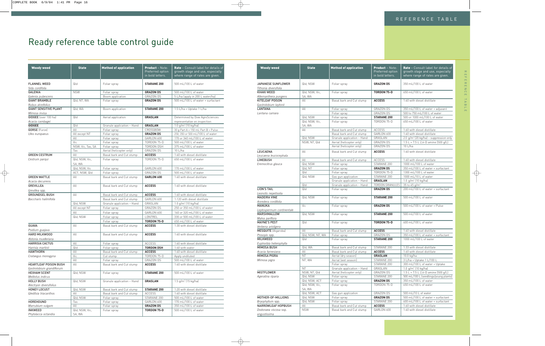### REFERENCE TABLE

| <b>Woody weed</b>                                  | <b>State</b>                         | <b>Method of application</b>                           | <b>Product - Note:</b><br>Preferred option<br>in bold letters. | <b>Rate</b> - Consult label for details of<br>growth stage and use, especially<br>where range of rates are given. |
|----------------------------------------------------|--------------------------------------|--------------------------------------------------------|----------------------------------------------------------------|-------------------------------------------------------------------------------------------------------------------|
| <b>JAPANESE SUNFLOWER</b><br>Tithonia diversifolia | Qld, NSW                             | Foliar spray                                           | <b>GRAZON DS</b>                                               | 350 mL/100 L of water                                                                                             |
| <b>KHAKI WEED</b>                                  | Qld, NSW, Vic,                       | Foliar spray                                           | <b>TORDON 75-D</b>                                             | 650 mL/100 L of water                                                                                             |
| Alternanthera pungens<br>KITELEAF POISON           | SA, WA<br>All                        | Basal bark and Cut stump                               | <b>ACCESS</b>                                                  | 1:60 with diesel distillate                                                                                       |
| Gastrolobium laytonii                              |                                      |                                                        |                                                                |                                                                                                                   |
| <b>LANTANA</b>                                     | All                                  | Foliar spray                                           | <b>GRAZON DS</b>                                               | 350 mL/100 L of water + adjuvant                                                                                  |
| Lantana camara                                     |                                      | Foliar spray                                           | <b>GRAZON DS</b>                                               | 500 to 750 mL/100 L of water                                                                                      |
|                                                    | Qld, NSW<br>Qld, NSW, Vic,<br>SA, WA | Foliar spray<br>Foliar spray                           | <b>STARANE 200</b><br>TORDON 75-D                              | 500 or 1000 mL/100 L of water<br>650 mL/100 L of water                                                            |
|                                                    | All                                  | Basal bark and Cut stump                               | <b>ACCESS</b>                                                  | 1:60 with diesel distillate                                                                                       |
|                                                    |                                      | Basal bark and Cut stump                               | GARLON 600                                                     | 1:60 with diesel distillate                                                                                       |
|                                                    | Qld, NSW<br>NSW, NT, Qld             | Granule application - Hand<br>Aerial (helicopter only) | GRASLAN<br><b>GRAZON DS</b>                                    | $2.0$ g/m <sup>2</sup> (20 kg/ha) – suppression only<br>$1.5 L + 7.5 L 2, 4 - D$ amine (500 g/L)                  |
|                                                    |                                      | Aerial (helicopter only)                               | <b>GRAZON DS</b>                                               | 10 L/ha                                                                                                           |
| <b>LEUCAENA</b><br>Leucaena leucocephala           | All                                  | Basal bark and Cut stump                               | <b>ACCESS</b>                                                  | 1:60 with diesel distillate                                                                                       |
| <b>LIMEBUSH</b>                                    | All                                  | Basal bark and Cut stump                               | <b>ACCESS</b>                                                  | 1:60 with diesel distillate                                                                                       |
| Eremocitrus glauca                                 | Qld, NSW                             | Foliar spray                                           | STARANE 200                                                    | 1000 mL/100 L of water                                                                                            |
|                                                    | Qld, NT                              | Foliar spray                                           | <b>GRAZON DS</b>                                               | 350 mL/100 L of water + surfactant                                                                                |
|                                                    | Qld                                  | Foliar spray                                           | TORDON 75-D                                                    | 1300 mL/100 L of water                                                                                            |
|                                                    | Qld, NSW                             | Gas gun application<br>Granule application - Hand      | STARANE 200<br><b>GRASLAN</b>                                  | 1000 mL/10 L of water<br>1.0 $g/m^2$ (10 kg/ha)                                                                   |
|                                                    | Qld                                  | Granule application - Hand                             | <b>TORDON GRANULES</b>                                         | 35 to 45 g/m <sup>2</sup>                                                                                         |
| <b>LION'S TAIL</b>                                 | Qld                                  | Foliar spray                                           | <b>GRAZON DS</b>                                               | 200 mL/100 L of water + surfactant                                                                                |
| Leonotis nepetisolia                               |                                      |                                                        |                                                                |                                                                                                                   |
| <b>MADEIRA VINE</b>                                | Qld, NSW                             | Foliar spray                                           | <b>STARANE 200</b>                                             | 500 mL/100 L of water                                                                                             |
| Anredera cordifolia                                |                                      |                                                        |                                                                |                                                                                                                   |
| <b>MANUKA</b><br>Leptospermum continentale         | Vic                                  | Foliar spray                                           | <b>GRAZON DS</b>                                               | 500 mL/100 L of water + Pulse                                                                                     |
| <b>MARSHMALLOW</b><br>Malva pariflora              | Qld, NSW                             | Foliar spray                                           | <b>STARANE 200</b>                                             | 500 mL/100 L of water                                                                                             |
| <b>MAYNE'S PEST</b>                                | Qld                                  | Foliar spray                                           | <b>TORDON 75-D</b>                                             | 600 mL/100 L of water                                                                                             |
| Verbena aristigera                                 |                                      |                                                        |                                                                |                                                                                                                   |
| <b>MESQUITE</b> (Algaroba)                         | All                                  | Basal bark and Cut stump                               | <b>ACCESS</b>                                                  | 1:60 with diesel distillate                                                                                       |
| Prosopis spp.                                      | Qld, NSW, NT, WA                     | Foliar spray                                           | <b>GRAZON DS</b>                                               | 350 mL/100 L of water + surfactant                                                                                |
| MILKWEED<br>Euphorbia heterophylla                 | Qld                                  | Foliar spray                                           | <b>STARANE 200</b>                                             | 1000 mL/100 L of water                                                                                            |
| <b>MIMOSA BUSH</b>                                 | Qld, WA                              | Basal bark and Cut stump                               | STARANE 200                                                    | 1:33 with diesel distillate                                                                                       |
| Acacia farnesiana                                  | All                                  | Basal bark and Cut stump                               | <b>ACCESS</b>                                                  | 1:60 with diesel distillate                                                                                       |
| MIMOSA PIGRA                                       | <b>NT</b>                            | Aerial (dry season)                                    | <b>GRASLAN</b>                                                 | 10.0 kg/ha                                                                                                        |
| Mimosa pigra                                       | NT, WA                               | Aerial (wet season)                                    | STARANE 200                                                    | 3 L/ha + Uptake 1 L/100 L                                                                                         |
|                                                    |                                      | Foliar spray                                           | STARANE 200                                                    | 300 mL/100 L of water + Uptake                                                                                    |
|                                                    | NT                                   | Granule application - Hand                             | GRASLAN                                                        | 1.0 $q/m^2$ (10 kg/ha)                                                                                            |
| <b>MISTFLOWER</b>                                  | NSW, NT, Qld                         | Aerial (helicopter only)                               | <b>GRAZON DS</b>                                               | 1.5 L + 7.5 L 2,4-D amine (500 g/L)                                                                               |
| Ageratina riparia                                  | Qld, NSW                             | Foliar spray                                           | STARANE 200                                                    | 500 mL/100 L (seedlings/young plants)                                                                             |
|                                                    | Qld, NSW, ACT<br>Qld, NSW, Vic,      | Foliar spray                                           | <b>GRAZON DS</b><br>TORDON 75-D                                | 350 mL/100 L of water<br>650 mL/100 L of water                                                                    |
|                                                    | SA, WA                               | Foliar spray                                           |                                                                |                                                                                                                   |
|                                                    | Qld, NSW, ACT                        | Gas gun application                                    | <b>GRAZON DS</b>                                               | 500 mL/10 L of water                                                                                              |
| MOTHER-OF-MILLIONS                                 | Qld, NSW                             | Foliar spray                                           | <b>GRAZON DS</b>                                               | 500 mL/100 L of water + surfactant                                                                                |
| Bryophyllum spp.                                   | Qld, NSW                             | Foliar spray                                           | STARANE 200                                                    | 600 mL/100 L of water + surfactant                                                                                |
| NARROWLEAF HOPBUSH                                 | All                                  | Basal bark and Cut stump                               | <b>ACCESS</b>                                                  | 1:60 with diesel distillate                                                                                       |
| Dodonaea viscosa ssp.<br>angustissima              | <b>NSW</b>                           | Basal bark and Cut stump                               | GARLON 600                                                     | 1:60 with diesel distillate                                                                                       |

| <b>FLANNEL WEED</b><br>Qld<br>500 mL/100 L of water<br>Foliar spray<br><b>STARANE 200</b><br>Sida cordifolia<br><b>GALENIA</b><br><b>NSW</b><br><b>GRAZON DS</b><br>500 mL/100 L of water<br>Foliar spray<br>5 L/ha (apply in 200 L water/ha)<br>Boom application<br><b>GRAZON DS</b><br>Galenia pubescens<br><b>GIANT BRAMBLE</b><br>Qld, NT, WA<br>500 mL/100 L of water + surfactant<br>Foliar spray<br><b>GRAZON DS</b><br>Rubus alceifolius<br><b>GIANT SENSITIVE PLANT</b><br>Qld, WA<br>Boom application<br>1.5 L/ha + Uptake 1 L/ha<br><b>STARANE 200</b><br>Mimosa invisa<br>GIDGEE (over 100 ha)<br>Determined by Dow AgroSciences<br>Qld<br>Aerial application<br><b>GRASLAN</b><br>representative on inspection<br>Acacia cambagei<br><b>GIDGEE</b><br>Qld<br><b>GRASLAN</b><br>$1.0$ g/m <sup>2</sup> (10 kg/ha)<br>Granule application - Hand<br><b>GORSE</b> [Furze]<br>All<br>Foliar spray<br>CROSSBOW<br>30 g Part A + 150 mL Part B + Pulse<br>All except NT<br>Foliar spray<br><b>GRAZON DS</b><br>250, 350 or 500 mL/100 L of water<br>Ulex europaeus<br>All<br>Foliar spray<br>GARLON 600<br>170 or 340 mL/100 L of water<br>Vic<br>Foliar spray<br>TORDON 75-D<br>500 mL/100 L of water<br>NSW, Vic, Tas, SA<br>Foliar spray<br>375 mL/100 L of water<br><b>TORDON DSH</b><br>Aerial (helicopter only)<br><b>GRAZON DS</b><br>10 L/ha<br>Tas<br><b>GREEN CESTRUM</b><br>All<br>1:60 with diesel distillate<br>Basal bark and Cut stump<br><b>ACCESS</b><br>Qld, NSW, Vic,<br>TORDON 75-D<br>650 mL/100 L of water<br>Cestrum parqui<br>Foliar spray<br>SA, WA<br>Qld, NSW, Vic<br>GARLON 600<br>170 mL/100 L of water<br>Foliar spray<br><b>GRAZON DS</b><br>500 mL/100 L of water<br>ACT, NSW, Qld<br>Foliar spray<br><b>GREEN WATTLE</b><br>Basal bark and Cut stump<br>1:60 with diesel distillate<br>All<br>GARLON 600<br>Acacia decurrens<br><b>GREVILLEA</b><br><b>ACCESS</b><br>All<br>Basal bark and Cut stump<br>1:60 with diesel distillate<br>Grevillea spp.<br><b>GROUNDSEL BUSH</b><br>All<br><b>ACCESS</b><br>1:60 with diesel distillate<br>Basal bark and Cut stump<br>GARLON 600<br>Baccharis halimifolia<br>Basal bark and Cut stump<br>1:120 with diesel distillate<br>Qld, NSW<br>Granule application - Hand<br>GRASLAN<br>$1.0$ g/m <sup>2</sup> (10 kg/ha)<br><b>GRAZON DS</b><br>250 or 350 mL/100 L of water<br>All except NT<br>Foliar spray<br>All<br>Foliar spray<br>GARLON 600<br>160 or 320 mL/100 L of water<br>Qld, NSW<br>Foliar spray<br>LONTREL<br>330 or 500 mL/100 L of water<br>TORDON 75-D<br>650 mL/100 L of water<br>Foliar spray<br><b>GUAVA</b><br>Basal bark and Cut stump<br>All<br><b>ACCESS</b><br>1:30 with diesel distillate<br>Psidium guajava<br>All<br><b>ACCESS</b><br>HARD MILKWOOD<br>Basal bark and Cut stump<br>1:60 with diesel distillate<br>Alstonia muelleriana<br><b>HARRISIA CACTUS</b><br><b>ACCESS</b><br>All<br>Foliar spray<br>1:60 with diesel distillate<br>Qld<br><b>TORDON DSH</b><br>1:40 with water<br>Harrisia martinii<br>Foliar spray<br><b>HAWTHORN</b><br>All<br>Basal bark and Cut stump<br><b>ACCESS</b><br>1:60 with diesel distillate<br>Vic<br>TORDON 75-D<br>Apply undiluted<br>Crataegus monogyna<br>Cut stump<br><b>GRAZON DS</b><br>500 mL/100 L of water<br>All<br>Foliar spray<br>Basal bark and Cut stump<br>HEARTLEAF POISON BUSH<br>All<br>1:60 with diesel distillate<br><b>ACCESS</b><br>Gastrolobium grandiflorum<br>500 mL/100 L of water<br><b>HEXHAM SCENT</b><br>Qld, NSW<br>Foliar spray<br><b>STARANE 200</b><br>Melilotus indicus<br>$1.5$ g/m <sup>2</sup> (15 kg/ha)<br><b>HOLLY BUSH</b><br>Granule application - Hand<br><b>GRASLAN</b><br>Qld, NSW<br>Alectryon diversifolius<br><b>HONEY LOCUST</b><br>Qld, NSW<br>Basal bark and Cut stump<br><b>STARANE 200</b><br>1:20 with diesel distillate<br>Gleditsia triacanthos<br>All<br><b>ACCESS</b><br>1:60 with diesel distillate<br>Basal bark and Cut stump<br>Qld, NSW<br>STARANE 200<br>500 mL/100 L of water<br>Foliar spray<br>HOREHOUND<br>Foliar spray<br>GARLON 600<br>Tas<br>170 mL/100 L of water<br>All<br>350 mL/100 L of water<br>Marrubium vulgare<br>Foliar spray<br><b>GRAZON DS</b> | <b>Woody weed</b> | <b>State</b> | <b>Method of application</b> | <b>Product - Note:</b><br>Preferred option<br>in bold letters. | Rate - Consult label for details of<br>growth stage and use, especially<br>where range of rates are given. |
|---------------------------------------------------------------------------------------------------------------------------------------------------------------------------------------------------------------------------------------------------------------------------------------------------------------------------------------------------------------------------------------------------------------------------------------------------------------------------------------------------------------------------------------------------------------------------------------------------------------------------------------------------------------------------------------------------------------------------------------------------------------------------------------------------------------------------------------------------------------------------------------------------------------------------------------------------------------------------------------------------------------------------------------------------------------------------------------------------------------------------------------------------------------------------------------------------------------------------------------------------------------------------------------------------------------------------------------------------------------------------------------------------------------------------------------------------------------------------------------------------------------------------------------------------------------------------------------------------------------------------------------------------------------------------------------------------------------------------------------------------------------------------------------------------------------------------------------------------------------------------------------------------------------------------------------------------------------------------------------------------------------------------------------------------------------------------------------------------------------------------------------------------------------------------------------------------------------------------------------------------------------------------------------------------------------------------------------------------------------------------------------------------------------------------------------------------------------------------------------------------------------------------------------------------------------------------------------------------------------------------------------------------------------------------------------------------------------------------------------------------------------------------------------------------------------------------------------------------------------------------------------------------------------------------------------------------------------------------------------------------------------------------------------------------------------------------------------------------------------------------------------------------------------------------------------------------------------------------------------------------------------------------------------------------------------------------------------------------------------------------------------------------------------------------------------------------------------------------------------------------------------------------------------------------------------------------------------------------------------------------------------------------------------------------------------------------------------------------------------------------------------------------------------------------------------------------------------------------------------------------------------------------------------------------------------------------------------------------------------------------------------------------------------------------------------------------------------------------------------------------------------------------------------------------------------|-------------------|--------------|------------------------------|----------------------------------------------------------------|------------------------------------------------------------------------------------------------------------|
|                                                                                                                                                                                                                                                                                                                                                                                                                                                                                                                                                                                                                                                                                                                                                                                                                                                                                                                                                                                                                                                                                                                                                                                                                                                                                                                                                                                                                                                                                                                                                                                                                                                                                                                                                                                                                                                                                                                                                                                                                                                                                                                                                                                                                                                                                                                                                                                                                                                                                                                                                                                                                                                                                                                                                                                                                                                                                                                                                                                                                                                                                                                                                                                                                                                                                                                                                                                                                                                                                                                                                                                                                                                                                                                                                                                                                                                                                                                                                                                                                                                                                                                                                                                       |                   |              |                              |                                                                |                                                                                                            |
|                                                                                                                                                                                                                                                                                                                                                                                                                                                                                                                                                                                                                                                                                                                                                                                                                                                                                                                                                                                                                                                                                                                                                                                                                                                                                                                                                                                                                                                                                                                                                                                                                                                                                                                                                                                                                                                                                                                                                                                                                                                                                                                                                                                                                                                                                                                                                                                                                                                                                                                                                                                                                                                                                                                                                                                                                                                                                                                                                                                                                                                                                                                                                                                                                                                                                                                                                                                                                                                                                                                                                                                                                                                                                                                                                                                                                                                                                                                                                                                                                                                                                                                                                                                       |                   |              |                              |                                                                |                                                                                                            |
|                                                                                                                                                                                                                                                                                                                                                                                                                                                                                                                                                                                                                                                                                                                                                                                                                                                                                                                                                                                                                                                                                                                                                                                                                                                                                                                                                                                                                                                                                                                                                                                                                                                                                                                                                                                                                                                                                                                                                                                                                                                                                                                                                                                                                                                                                                                                                                                                                                                                                                                                                                                                                                                                                                                                                                                                                                                                                                                                                                                                                                                                                                                                                                                                                                                                                                                                                                                                                                                                                                                                                                                                                                                                                                                                                                                                                                                                                                                                                                                                                                                                                                                                                                                       |                   |              |                              |                                                                |                                                                                                            |
|                                                                                                                                                                                                                                                                                                                                                                                                                                                                                                                                                                                                                                                                                                                                                                                                                                                                                                                                                                                                                                                                                                                                                                                                                                                                                                                                                                                                                                                                                                                                                                                                                                                                                                                                                                                                                                                                                                                                                                                                                                                                                                                                                                                                                                                                                                                                                                                                                                                                                                                                                                                                                                                                                                                                                                                                                                                                                                                                                                                                                                                                                                                                                                                                                                                                                                                                                                                                                                                                                                                                                                                                                                                                                                                                                                                                                                                                                                                                                                                                                                                                                                                                                                                       |                   |              |                              |                                                                |                                                                                                            |
|                                                                                                                                                                                                                                                                                                                                                                                                                                                                                                                                                                                                                                                                                                                                                                                                                                                                                                                                                                                                                                                                                                                                                                                                                                                                                                                                                                                                                                                                                                                                                                                                                                                                                                                                                                                                                                                                                                                                                                                                                                                                                                                                                                                                                                                                                                                                                                                                                                                                                                                                                                                                                                                                                                                                                                                                                                                                                                                                                                                                                                                                                                                                                                                                                                                                                                                                                                                                                                                                                                                                                                                                                                                                                                                                                                                                                                                                                                                                                                                                                                                                                                                                                                                       |                   |              |                              |                                                                |                                                                                                            |
|                                                                                                                                                                                                                                                                                                                                                                                                                                                                                                                                                                                                                                                                                                                                                                                                                                                                                                                                                                                                                                                                                                                                                                                                                                                                                                                                                                                                                                                                                                                                                                                                                                                                                                                                                                                                                                                                                                                                                                                                                                                                                                                                                                                                                                                                                                                                                                                                                                                                                                                                                                                                                                                                                                                                                                                                                                                                                                                                                                                                                                                                                                                                                                                                                                                                                                                                                                                                                                                                                                                                                                                                                                                                                                                                                                                                                                                                                                                                                                                                                                                                                                                                                                                       |                   |              |                              |                                                                |                                                                                                            |
|                                                                                                                                                                                                                                                                                                                                                                                                                                                                                                                                                                                                                                                                                                                                                                                                                                                                                                                                                                                                                                                                                                                                                                                                                                                                                                                                                                                                                                                                                                                                                                                                                                                                                                                                                                                                                                                                                                                                                                                                                                                                                                                                                                                                                                                                                                                                                                                                                                                                                                                                                                                                                                                                                                                                                                                                                                                                                                                                                                                                                                                                                                                                                                                                                                                                                                                                                                                                                                                                                                                                                                                                                                                                                                                                                                                                                                                                                                                                                                                                                                                                                                                                                                                       |                   |              |                              |                                                                |                                                                                                            |
|                                                                                                                                                                                                                                                                                                                                                                                                                                                                                                                                                                                                                                                                                                                                                                                                                                                                                                                                                                                                                                                                                                                                                                                                                                                                                                                                                                                                                                                                                                                                                                                                                                                                                                                                                                                                                                                                                                                                                                                                                                                                                                                                                                                                                                                                                                                                                                                                                                                                                                                                                                                                                                                                                                                                                                                                                                                                                                                                                                                                                                                                                                                                                                                                                                                                                                                                                                                                                                                                                                                                                                                                                                                                                                                                                                                                                                                                                                                                                                                                                                                                                                                                                                                       |                   |              |                              |                                                                |                                                                                                            |
|                                                                                                                                                                                                                                                                                                                                                                                                                                                                                                                                                                                                                                                                                                                                                                                                                                                                                                                                                                                                                                                                                                                                                                                                                                                                                                                                                                                                                                                                                                                                                                                                                                                                                                                                                                                                                                                                                                                                                                                                                                                                                                                                                                                                                                                                                                                                                                                                                                                                                                                                                                                                                                                                                                                                                                                                                                                                                                                                                                                                                                                                                                                                                                                                                                                                                                                                                                                                                                                                                                                                                                                                                                                                                                                                                                                                                                                                                                                                                                                                                                                                                                                                                                                       |                   |              |                              |                                                                |                                                                                                            |
|                                                                                                                                                                                                                                                                                                                                                                                                                                                                                                                                                                                                                                                                                                                                                                                                                                                                                                                                                                                                                                                                                                                                                                                                                                                                                                                                                                                                                                                                                                                                                                                                                                                                                                                                                                                                                                                                                                                                                                                                                                                                                                                                                                                                                                                                                                                                                                                                                                                                                                                                                                                                                                                                                                                                                                                                                                                                                                                                                                                                                                                                                                                                                                                                                                                                                                                                                                                                                                                                                                                                                                                                                                                                                                                                                                                                                                                                                                                                                                                                                                                                                                                                                                                       |                   |              |                              |                                                                |                                                                                                            |
|                                                                                                                                                                                                                                                                                                                                                                                                                                                                                                                                                                                                                                                                                                                                                                                                                                                                                                                                                                                                                                                                                                                                                                                                                                                                                                                                                                                                                                                                                                                                                                                                                                                                                                                                                                                                                                                                                                                                                                                                                                                                                                                                                                                                                                                                                                                                                                                                                                                                                                                                                                                                                                                                                                                                                                                                                                                                                                                                                                                                                                                                                                                                                                                                                                                                                                                                                                                                                                                                                                                                                                                                                                                                                                                                                                                                                                                                                                                                                                                                                                                                                                                                                                                       |                   |              |                              |                                                                |                                                                                                            |
|                                                                                                                                                                                                                                                                                                                                                                                                                                                                                                                                                                                                                                                                                                                                                                                                                                                                                                                                                                                                                                                                                                                                                                                                                                                                                                                                                                                                                                                                                                                                                                                                                                                                                                                                                                                                                                                                                                                                                                                                                                                                                                                                                                                                                                                                                                                                                                                                                                                                                                                                                                                                                                                                                                                                                                                                                                                                                                                                                                                                                                                                                                                                                                                                                                                                                                                                                                                                                                                                                                                                                                                                                                                                                                                                                                                                                                                                                                                                                                                                                                                                                                                                                                                       |                   |              |                              |                                                                |                                                                                                            |
|                                                                                                                                                                                                                                                                                                                                                                                                                                                                                                                                                                                                                                                                                                                                                                                                                                                                                                                                                                                                                                                                                                                                                                                                                                                                                                                                                                                                                                                                                                                                                                                                                                                                                                                                                                                                                                                                                                                                                                                                                                                                                                                                                                                                                                                                                                                                                                                                                                                                                                                                                                                                                                                                                                                                                                                                                                                                                                                                                                                                                                                                                                                                                                                                                                                                                                                                                                                                                                                                                                                                                                                                                                                                                                                                                                                                                                                                                                                                                                                                                                                                                                                                                                                       |                   |              |                              |                                                                |                                                                                                            |
|                                                                                                                                                                                                                                                                                                                                                                                                                                                                                                                                                                                                                                                                                                                                                                                                                                                                                                                                                                                                                                                                                                                                                                                                                                                                                                                                                                                                                                                                                                                                                                                                                                                                                                                                                                                                                                                                                                                                                                                                                                                                                                                                                                                                                                                                                                                                                                                                                                                                                                                                                                                                                                                                                                                                                                                                                                                                                                                                                                                                                                                                                                                                                                                                                                                                                                                                                                                                                                                                                                                                                                                                                                                                                                                                                                                                                                                                                                                                                                                                                                                                                                                                                                                       |                   |              |                              |                                                                |                                                                                                            |
|                                                                                                                                                                                                                                                                                                                                                                                                                                                                                                                                                                                                                                                                                                                                                                                                                                                                                                                                                                                                                                                                                                                                                                                                                                                                                                                                                                                                                                                                                                                                                                                                                                                                                                                                                                                                                                                                                                                                                                                                                                                                                                                                                                                                                                                                                                                                                                                                                                                                                                                                                                                                                                                                                                                                                                                                                                                                                                                                                                                                                                                                                                                                                                                                                                                                                                                                                                                                                                                                                                                                                                                                                                                                                                                                                                                                                                                                                                                                                                                                                                                                                                                                                                                       |                   |              |                              |                                                                |                                                                                                            |
|                                                                                                                                                                                                                                                                                                                                                                                                                                                                                                                                                                                                                                                                                                                                                                                                                                                                                                                                                                                                                                                                                                                                                                                                                                                                                                                                                                                                                                                                                                                                                                                                                                                                                                                                                                                                                                                                                                                                                                                                                                                                                                                                                                                                                                                                                                                                                                                                                                                                                                                                                                                                                                                                                                                                                                                                                                                                                                                                                                                                                                                                                                                                                                                                                                                                                                                                                                                                                                                                                                                                                                                                                                                                                                                                                                                                                                                                                                                                                                                                                                                                                                                                                                                       |                   |              |                              |                                                                |                                                                                                            |
|                                                                                                                                                                                                                                                                                                                                                                                                                                                                                                                                                                                                                                                                                                                                                                                                                                                                                                                                                                                                                                                                                                                                                                                                                                                                                                                                                                                                                                                                                                                                                                                                                                                                                                                                                                                                                                                                                                                                                                                                                                                                                                                                                                                                                                                                                                                                                                                                                                                                                                                                                                                                                                                                                                                                                                                                                                                                                                                                                                                                                                                                                                                                                                                                                                                                                                                                                                                                                                                                                                                                                                                                                                                                                                                                                                                                                                                                                                                                                                                                                                                                                                                                                                                       |                   |              |                              |                                                                |                                                                                                            |
|                                                                                                                                                                                                                                                                                                                                                                                                                                                                                                                                                                                                                                                                                                                                                                                                                                                                                                                                                                                                                                                                                                                                                                                                                                                                                                                                                                                                                                                                                                                                                                                                                                                                                                                                                                                                                                                                                                                                                                                                                                                                                                                                                                                                                                                                                                                                                                                                                                                                                                                                                                                                                                                                                                                                                                                                                                                                                                                                                                                                                                                                                                                                                                                                                                                                                                                                                                                                                                                                                                                                                                                                                                                                                                                                                                                                                                                                                                                                                                                                                                                                                                                                                                                       |                   |              |                              |                                                                |                                                                                                            |
|                                                                                                                                                                                                                                                                                                                                                                                                                                                                                                                                                                                                                                                                                                                                                                                                                                                                                                                                                                                                                                                                                                                                                                                                                                                                                                                                                                                                                                                                                                                                                                                                                                                                                                                                                                                                                                                                                                                                                                                                                                                                                                                                                                                                                                                                                                                                                                                                                                                                                                                                                                                                                                                                                                                                                                                                                                                                                                                                                                                                                                                                                                                                                                                                                                                                                                                                                                                                                                                                                                                                                                                                                                                                                                                                                                                                                                                                                                                                                                                                                                                                                                                                                                                       |                   |              |                              |                                                                |                                                                                                            |
|                                                                                                                                                                                                                                                                                                                                                                                                                                                                                                                                                                                                                                                                                                                                                                                                                                                                                                                                                                                                                                                                                                                                                                                                                                                                                                                                                                                                                                                                                                                                                                                                                                                                                                                                                                                                                                                                                                                                                                                                                                                                                                                                                                                                                                                                                                                                                                                                                                                                                                                                                                                                                                                                                                                                                                                                                                                                                                                                                                                                                                                                                                                                                                                                                                                                                                                                                                                                                                                                                                                                                                                                                                                                                                                                                                                                                                                                                                                                                                                                                                                                                                                                                                                       |                   |              |                              |                                                                |                                                                                                            |
|                                                                                                                                                                                                                                                                                                                                                                                                                                                                                                                                                                                                                                                                                                                                                                                                                                                                                                                                                                                                                                                                                                                                                                                                                                                                                                                                                                                                                                                                                                                                                                                                                                                                                                                                                                                                                                                                                                                                                                                                                                                                                                                                                                                                                                                                                                                                                                                                                                                                                                                                                                                                                                                                                                                                                                                                                                                                                                                                                                                                                                                                                                                                                                                                                                                                                                                                                                                                                                                                                                                                                                                                                                                                                                                                                                                                                                                                                                                                                                                                                                                                                                                                                                                       |                   |              |                              |                                                                |                                                                                                            |
|                                                                                                                                                                                                                                                                                                                                                                                                                                                                                                                                                                                                                                                                                                                                                                                                                                                                                                                                                                                                                                                                                                                                                                                                                                                                                                                                                                                                                                                                                                                                                                                                                                                                                                                                                                                                                                                                                                                                                                                                                                                                                                                                                                                                                                                                                                                                                                                                                                                                                                                                                                                                                                                                                                                                                                                                                                                                                                                                                                                                                                                                                                                                                                                                                                                                                                                                                                                                                                                                                                                                                                                                                                                                                                                                                                                                                                                                                                                                                                                                                                                                                                                                                                                       |                   |              |                              |                                                                |                                                                                                            |
|                                                                                                                                                                                                                                                                                                                                                                                                                                                                                                                                                                                                                                                                                                                                                                                                                                                                                                                                                                                                                                                                                                                                                                                                                                                                                                                                                                                                                                                                                                                                                                                                                                                                                                                                                                                                                                                                                                                                                                                                                                                                                                                                                                                                                                                                                                                                                                                                                                                                                                                                                                                                                                                                                                                                                                                                                                                                                                                                                                                                                                                                                                                                                                                                                                                                                                                                                                                                                                                                                                                                                                                                                                                                                                                                                                                                                                                                                                                                                                                                                                                                                                                                                                                       |                   |              |                              |                                                                |                                                                                                            |
|                                                                                                                                                                                                                                                                                                                                                                                                                                                                                                                                                                                                                                                                                                                                                                                                                                                                                                                                                                                                                                                                                                                                                                                                                                                                                                                                                                                                                                                                                                                                                                                                                                                                                                                                                                                                                                                                                                                                                                                                                                                                                                                                                                                                                                                                                                                                                                                                                                                                                                                                                                                                                                                                                                                                                                                                                                                                                                                                                                                                                                                                                                                                                                                                                                                                                                                                                                                                                                                                                                                                                                                                                                                                                                                                                                                                                                                                                                                                                                                                                                                                                                                                                                                       |                   |              |                              |                                                                |                                                                                                            |
|                                                                                                                                                                                                                                                                                                                                                                                                                                                                                                                                                                                                                                                                                                                                                                                                                                                                                                                                                                                                                                                                                                                                                                                                                                                                                                                                                                                                                                                                                                                                                                                                                                                                                                                                                                                                                                                                                                                                                                                                                                                                                                                                                                                                                                                                                                                                                                                                                                                                                                                                                                                                                                                                                                                                                                                                                                                                                                                                                                                                                                                                                                                                                                                                                                                                                                                                                                                                                                                                                                                                                                                                                                                                                                                                                                                                                                                                                                                                                                                                                                                                                                                                                                                       |                   |              |                              |                                                                |                                                                                                            |
|                                                                                                                                                                                                                                                                                                                                                                                                                                                                                                                                                                                                                                                                                                                                                                                                                                                                                                                                                                                                                                                                                                                                                                                                                                                                                                                                                                                                                                                                                                                                                                                                                                                                                                                                                                                                                                                                                                                                                                                                                                                                                                                                                                                                                                                                                                                                                                                                                                                                                                                                                                                                                                                                                                                                                                                                                                                                                                                                                                                                                                                                                                                                                                                                                                                                                                                                                                                                                                                                                                                                                                                                                                                                                                                                                                                                                                                                                                                                                                                                                                                                                                                                                                                       |                   |              |                              |                                                                |                                                                                                            |
|                                                                                                                                                                                                                                                                                                                                                                                                                                                                                                                                                                                                                                                                                                                                                                                                                                                                                                                                                                                                                                                                                                                                                                                                                                                                                                                                                                                                                                                                                                                                                                                                                                                                                                                                                                                                                                                                                                                                                                                                                                                                                                                                                                                                                                                                                                                                                                                                                                                                                                                                                                                                                                                                                                                                                                                                                                                                                                                                                                                                                                                                                                                                                                                                                                                                                                                                                                                                                                                                                                                                                                                                                                                                                                                                                                                                                                                                                                                                                                                                                                                                                                                                                                                       |                   |              |                              |                                                                |                                                                                                            |
|                                                                                                                                                                                                                                                                                                                                                                                                                                                                                                                                                                                                                                                                                                                                                                                                                                                                                                                                                                                                                                                                                                                                                                                                                                                                                                                                                                                                                                                                                                                                                                                                                                                                                                                                                                                                                                                                                                                                                                                                                                                                                                                                                                                                                                                                                                                                                                                                                                                                                                                                                                                                                                                                                                                                                                                                                                                                                                                                                                                                                                                                                                                                                                                                                                                                                                                                                                                                                                                                                                                                                                                                                                                                                                                                                                                                                                                                                                                                                                                                                                                                                                                                                                                       |                   |              |                              |                                                                |                                                                                                            |
|                                                                                                                                                                                                                                                                                                                                                                                                                                                                                                                                                                                                                                                                                                                                                                                                                                                                                                                                                                                                                                                                                                                                                                                                                                                                                                                                                                                                                                                                                                                                                                                                                                                                                                                                                                                                                                                                                                                                                                                                                                                                                                                                                                                                                                                                                                                                                                                                                                                                                                                                                                                                                                                                                                                                                                                                                                                                                                                                                                                                                                                                                                                                                                                                                                                                                                                                                                                                                                                                                                                                                                                                                                                                                                                                                                                                                                                                                                                                                                                                                                                                                                                                                                                       |                   |              |                              |                                                                |                                                                                                            |
|                                                                                                                                                                                                                                                                                                                                                                                                                                                                                                                                                                                                                                                                                                                                                                                                                                                                                                                                                                                                                                                                                                                                                                                                                                                                                                                                                                                                                                                                                                                                                                                                                                                                                                                                                                                                                                                                                                                                                                                                                                                                                                                                                                                                                                                                                                                                                                                                                                                                                                                                                                                                                                                                                                                                                                                                                                                                                                                                                                                                                                                                                                                                                                                                                                                                                                                                                                                                                                                                                                                                                                                                                                                                                                                                                                                                                                                                                                                                                                                                                                                                                                                                                                                       |                   |              |                              |                                                                |                                                                                                            |
|                                                                                                                                                                                                                                                                                                                                                                                                                                                                                                                                                                                                                                                                                                                                                                                                                                                                                                                                                                                                                                                                                                                                                                                                                                                                                                                                                                                                                                                                                                                                                                                                                                                                                                                                                                                                                                                                                                                                                                                                                                                                                                                                                                                                                                                                                                                                                                                                                                                                                                                                                                                                                                                                                                                                                                                                                                                                                                                                                                                                                                                                                                                                                                                                                                                                                                                                                                                                                                                                                                                                                                                                                                                                                                                                                                                                                                                                                                                                                                                                                                                                                                                                                                                       |                   |              |                              |                                                                |                                                                                                            |
|                                                                                                                                                                                                                                                                                                                                                                                                                                                                                                                                                                                                                                                                                                                                                                                                                                                                                                                                                                                                                                                                                                                                                                                                                                                                                                                                                                                                                                                                                                                                                                                                                                                                                                                                                                                                                                                                                                                                                                                                                                                                                                                                                                                                                                                                                                                                                                                                                                                                                                                                                                                                                                                                                                                                                                                                                                                                                                                                                                                                                                                                                                                                                                                                                                                                                                                                                                                                                                                                                                                                                                                                                                                                                                                                                                                                                                                                                                                                                                                                                                                                                                                                                                                       |                   |              |                              |                                                                |                                                                                                            |
|                                                                                                                                                                                                                                                                                                                                                                                                                                                                                                                                                                                                                                                                                                                                                                                                                                                                                                                                                                                                                                                                                                                                                                                                                                                                                                                                                                                                                                                                                                                                                                                                                                                                                                                                                                                                                                                                                                                                                                                                                                                                                                                                                                                                                                                                                                                                                                                                                                                                                                                                                                                                                                                                                                                                                                                                                                                                                                                                                                                                                                                                                                                                                                                                                                                                                                                                                                                                                                                                                                                                                                                                                                                                                                                                                                                                                                                                                                                                                                                                                                                                                                                                                                                       |                   |              |                              |                                                                |                                                                                                            |
|                                                                                                                                                                                                                                                                                                                                                                                                                                                                                                                                                                                                                                                                                                                                                                                                                                                                                                                                                                                                                                                                                                                                                                                                                                                                                                                                                                                                                                                                                                                                                                                                                                                                                                                                                                                                                                                                                                                                                                                                                                                                                                                                                                                                                                                                                                                                                                                                                                                                                                                                                                                                                                                                                                                                                                                                                                                                                                                                                                                                                                                                                                                                                                                                                                                                                                                                                                                                                                                                                                                                                                                                                                                                                                                                                                                                                                                                                                                                                                                                                                                                                                                                                                                       |                   |              |                              |                                                                |                                                                                                            |
|                                                                                                                                                                                                                                                                                                                                                                                                                                                                                                                                                                                                                                                                                                                                                                                                                                                                                                                                                                                                                                                                                                                                                                                                                                                                                                                                                                                                                                                                                                                                                                                                                                                                                                                                                                                                                                                                                                                                                                                                                                                                                                                                                                                                                                                                                                                                                                                                                                                                                                                                                                                                                                                                                                                                                                                                                                                                                                                                                                                                                                                                                                                                                                                                                                                                                                                                                                                                                                                                                                                                                                                                                                                                                                                                                                                                                                                                                                                                                                                                                                                                                                                                                                                       |                   |              |                              |                                                                |                                                                                                            |
|                                                                                                                                                                                                                                                                                                                                                                                                                                                                                                                                                                                                                                                                                                                                                                                                                                                                                                                                                                                                                                                                                                                                                                                                                                                                                                                                                                                                                                                                                                                                                                                                                                                                                                                                                                                                                                                                                                                                                                                                                                                                                                                                                                                                                                                                                                                                                                                                                                                                                                                                                                                                                                                                                                                                                                                                                                                                                                                                                                                                                                                                                                                                                                                                                                                                                                                                                                                                                                                                                                                                                                                                                                                                                                                                                                                                                                                                                                                                                                                                                                                                                                                                                                                       |                   |              |                              |                                                                |                                                                                                            |
|                                                                                                                                                                                                                                                                                                                                                                                                                                                                                                                                                                                                                                                                                                                                                                                                                                                                                                                                                                                                                                                                                                                                                                                                                                                                                                                                                                                                                                                                                                                                                                                                                                                                                                                                                                                                                                                                                                                                                                                                                                                                                                                                                                                                                                                                                                                                                                                                                                                                                                                                                                                                                                                                                                                                                                                                                                                                                                                                                                                                                                                                                                                                                                                                                                                                                                                                                                                                                                                                                                                                                                                                                                                                                                                                                                                                                                                                                                                                                                                                                                                                                                                                                                                       |                   |              |                              |                                                                |                                                                                                            |
|                                                                                                                                                                                                                                                                                                                                                                                                                                                                                                                                                                                                                                                                                                                                                                                                                                                                                                                                                                                                                                                                                                                                                                                                                                                                                                                                                                                                                                                                                                                                                                                                                                                                                                                                                                                                                                                                                                                                                                                                                                                                                                                                                                                                                                                                                                                                                                                                                                                                                                                                                                                                                                                                                                                                                                                                                                                                                                                                                                                                                                                                                                                                                                                                                                                                                                                                                                                                                                                                                                                                                                                                                                                                                                                                                                                                                                                                                                                                                                                                                                                                                                                                                                                       |                   |              |                              |                                                                |                                                                                                            |
|                                                                                                                                                                                                                                                                                                                                                                                                                                                                                                                                                                                                                                                                                                                                                                                                                                                                                                                                                                                                                                                                                                                                                                                                                                                                                                                                                                                                                                                                                                                                                                                                                                                                                                                                                                                                                                                                                                                                                                                                                                                                                                                                                                                                                                                                                                                                                                                                                                                                                                                                                                                                                                                                                                                                                                                                                                                                                                                                                                                                                                                                                                                                                                                                                                                                                                                                                                                                                                                                                                                                                                                                                                                                                                                                                                                                                                                                                                                                                                                                                                                                                                                                                                                       |                   |              |                              |                                                                |                                                                                                            |
|                                                                                                                                                                                                                                                                                                                                                                                                                                                                                                                                                                                                                                                                                                                                                                                                                                                                                                                                                                                                                                                                                                                                                                                                                                                                                                                                                                                                                                                                                                                                                                                                                                                                                                                                                                                                                                                                                                                                                                                                                                                                                                                                                                                                                                                                                                                                                                                                                                                                                                                                                                                                                                                                                                                                                                                                                                                                                                                                                                                                                                                                                                                                                                                                                                                                                                                                                                                                                                                                                                                                                                                                                                                                                                                                                                                                                                                                                                                                                                                                                                                                                                                                                                                       |                   |              |                              |                                                                |                                                                                                            |
|                                                                                                                                                                                                                                                                                                                                                                                                                                                                                                                                                                                                                                                                                                                                                                                                                                                                                                                                                                                                                                                                                                                                                                                                                                                                                                                                                                                                                                                                                                                                                                                                                                                                                                                                                                                                                                                                                                                                                                                                                                                                                                                                                                                                                                                                                                                                                                                                                                                                                                                                                                                                                                                                                                                                                                                                                                                                                                                                                                                                                                                                                                                                                                                                                                                                                                                                                                                                                                                                                                                                                                                                                                                                                                                                                                                                                                                                                                                                                                                                                                                                                                                                                                                       |                   |              |                              |                                                                |                                                                                                            |
|                                                                                                                                                                                                                                                                                                                                                                                                                                                                                                                                                                                                                                                                                                                                                                                                                                                                                                                                                                                                                                                                                                                                                                                                                                                                                                                                                                                                                                                                                                                                                                                                                                                                                                                                                                                                                                                                                                                                                                                                                                                                                                                                                                                                                                                                                                                                                                                                                                                                                                                                                                                                                                                                                                                                                                                                                                                                                                                                                                                                                                                                                                                                                                                                                                                                                                                                                                                                                                                                                                                                                                                                                                                                                                                                                                                                                                                                                                                                                                                                                                                                                                                                                                                       |                   |              |                              |                                                                |                                                                                                            |
|                                                                                                                                                                                                                                                                                                                                                                                                                                                                                                                                                                                                                                                                                                                                                                                                                                                                                                                                                                                                                                                                                                                                                                                                                                                                                                                                                                                                                                                                                                                                                                                                                                                                                                                                                                                                                                                                                                                                                                                                                                                                                                                                                                                                                                                                                                                                                                                                                                                                                                                                                                                                                                                                                                                                                                                                                                                                                                                                                                                                                                                                                                                                                                                                                                                                                                                                                                                                                                                                                                                                                                                                                                                                                                                                                                                                                                                                                                                                                                                                                                                                                                                                                                                       |                   |              |                              |                                                                |                                                                                                            |
|                                                                                                                                                                                                                                                                                                                                                                                                                                                                                                                                                                                                                                                                                                                                                                                                                                                                                                                                                                                                                                                                                                                                                                                                                                                                                                                                                                                                                                                                                                                                                                                                                                                                                                                                                                                                                                                                                                                                                                                                                                                                                                                                                                                                                                                                                                                                                                                                                                                                                                                                                                                                                                                                                                                                                                                                                                                                                                                                                                                                                                                                                                                                                                                                                                                                                                                                                                                                                                                                                                                                                                                                                                                                                                                                                                                                                                                                                                                                                                                                                                                                                                                                                                                       |                   |              |                              |                                                                |                                                                                                            |
|                                                                                                                                                                                                                                                                                                                                                                                                                                                                                                                                                                                                                                                                                                                                                                                                                                                                                                                                                                                                                                                                                                                                                                                                                                                                                                                                                                                                                                                                                                                                                                                                                                                                                                                                                                                                                                                                                                                                                                                                                                                                                                                                                                                                                                                                                                                                                                                                                                                                                                                                                                                                                                                                                                                                                                                                                                                                                                                                                                                                                                                                                                                                                                                                                                                                                                                                                                                                                                                                                                                                                                                                                                                                                                                                                                                                                                                                                                                                                                                                                                                                                                                                                                                       |                   |              |                              |                                                                |                                                                                                            |
|                                                                                                                                                                                                                                                                                                                                                                                                                                                                                                                                                                                                                                                                                                                                                                                                                                                                                                                                                                                                                                                                                                                                                                                                                                                                                                                                                                                                                                                                                                                                                                                                                                                                                                                                                                                                                                                                                                                                                                                                                                                                                                                                                                                                                                                                                                                                                                                                                                                                                                                                                                                                                                                                                                                                                                                                                                                                                                                                                                                                                                                                                                                                                                                                                                                                                                                                                                                                                                                                                                                                                                                                                                                                                                                                                                                                                                                                                                                                                                                                                                                                                                                                                                                       |                   |              |                              |                                                                |                                                                                                            |
|                                                                                                                                                                                                                                                                                                                                                                                                                                                                                                                                                                                                                                                                                                                                                                                                                                                                                                                                                                                                                                                                                                                                                                                                                                                                                                                                                                                                                                                                                                                                                                                                                                                                                                                                                                                                                                                                                                                                                                                                                                                                                                                                                                                                                                                                                                                                                                                                                                                                                                                                                                                                                                                                                                                                                                                                                                                                                                                                                                                                                                                                                                                                                                                                                                                                                                                                                                                                                                                                                                                                                                                                                                                                                                                                                                                                                                                                                                                                                                                                                                                                                                                                                                                       |                   |              |                              |                                                                |                                                                                                            |
|                                                                                                                                                                                                                                                                                                                                                                                                                                                                                                                                                                                                                                                                                                                                                                                                                                                                                                                                                                                                                                                                                                                                                                                                                                                                                                                                                                                                                                                                                                                                                                                                                                                                                                                                                                                                                                                                                                                                                                                                                                                                                                                                                                                                                                                                                                                                                                                                                                                                                                                                                                                                                                                                                                                                                                                                                                                                                                                                                                                                                                                                                                                                                                                                                                                                                                                                                                                                                                                                                                                                                                                                                                                                                                                                                                                                                                                                                                                                                                                                                                                                                                                                                                                       |                   |              |                              |                                                                |                                                                                                            |
|                                                                                                                                                                                                                                                                                                                                                                                                                                                                                                                                                                                                                                                                                                                                                                                                                                                                                                                                                                                                                                                                                                                                                                                                                                                                                                                                                                                                                                                                                                                                                                                                                                                                                                                                                                                                                                                                                                                                                                                                                                                                                                                                                                                                                                                                                                                                                                                                                                                                                                                                                                                                                                                                                                                                                                                                                                                                                                                                                                                                                                                                                                                                                                                                                                                                                                                                                                                                                                                                                                                                                                                                                                                                                                                                                                                                                                                                                                                                                                                                                                                                                                                                                                                       |                   |              |                              |                                                                |                                                                                                            |
|                                                                                                                                                                                                                                                                                                                                                                                                                                                                                                                                                                                                                                                                                                                                                                                                                                                                                                                                                                                                                                                                                                                                                                                                                                                                                                                                                                                                                                                                                                                                                                                                                                                                                                                                                                                                                                                                                                                                                                                                                                                                                                                                                                                                                                                                                                                                                                                                                                                                                                                                                                                                                                                                                                                                                                                                                                                                                                                                                                                                                                                                                                                                                                                                                                                                                                                                                                                                                                                                                                                                                                                                                                                                                                                                                                                                                                                                                                                                                                                                                                                                                                                                                                                       |                   |              |                              |                                                                |                                                                                                            |
| Qld, NSW, Vic,<br><b>INKWEED</b><br>TORDON 75-D<br>500 mL/100 L of water<br>Foliar spray                                                                                                                                                                                                                                                                                                                                                                                                                                                                                                                                                                                                                                                                                                                                                                                                                                                                                                                                                                                                                                                                                                                                                                                                                                                                                                                                                                                                                                                                                                                                                                                                                                                                                                                                                                                                                                                                                                                                                                                                                                                                                                                                                                                                                                                                                                                                                                                                                                                                                                                                                                                                                                                                                                                                                                                                                                                                                                                                                                                                                                                                                                                                                                                                                                                                                                                                                                                                                                                                                                                                                                                                                                                                                                                                                                                                                                                                                                                                                                                                                                                                                              |                   |              |                              |                                                                |                                                                                                            |
| Phytolacca octandra<br>SA, WA                                                                                                                                                                                                                                                                                                                                                                                                                                                                                                                                                                                                                                                                                                                                                                                                                                                                                                                                                                                                                                                                                                                                                                                                                                                                                                                                                                                                                                                                                                                                                                                                                                                                                                                                                                                                                                                                                                                                                                                                                                                                                                                                                                                                                                                                                                                                                                                                                                                                                                                                                                                                                                                                                                                                                                                                                                                                                                                                                                                                                                                                                                                                                                                                                                                                                                                                                                                                                                                                                                                                                                                                                                                                                                                                                                                                                                                                                                                                                                                                                                                                                                                                                         |                   |              |                              |                                                                |                                                                                                            |

# Ready reference table control guide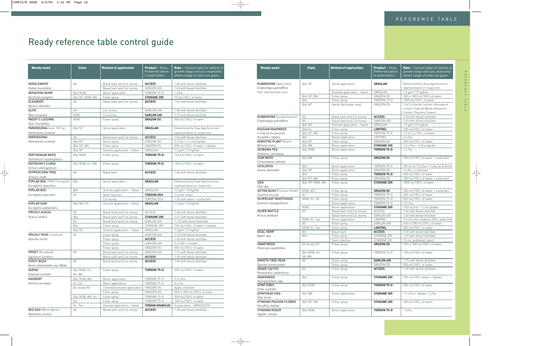| <b>Woody weed</b>                                          | <b>State</b>             | <b>Method of application</b> | <b>Product - Note:</b><br>Preferred option<br>in bold letters. | <b>Rate</b> - Consult label for details of<br>growth stage and use, especially<br>where range of rates are given. |
|------------------------------------------------------------|--------------------------|------------------------------|----------------------------------------------------------------|-------------------------------------------------------------------------------------------------------------------|
| <b>RUBBERVINE</b> (Open flats)<br>Cryptostegia grandiflora | Qld, NT                  | Aerial application           | <b>GRASLAN</b>                                                 | Determined by Dow AgroSciences<br>representative on inspection                                                    |
| (Not infected with rust)                                   |                          | Granule application - Hand   | GRASLAN                                                        | $1.5$ g/m <sup>2</sup> (15 kg/ha)                                                                                 |
|                                                            | Qld, NT, WA              | Foliar spray                 | <b>GRAZON DS</b>                                               | 350 or 500 mL/100 L of water                                                                                      |
|                                                            | Qld                      | Foliar spray                 | TORDON 75-D                                                    | 1300 mL/100 L of water                                                                                            |
|                                                            | Qld, NT                  | Aerial (helicopter only)     | <b>GRAZON DS</b>                                               | 3 to 5 L/ha (for further information<br>contact Tropical Weeds Research<br>Centre, Charters Towers)               |
| <b>RUBBERVINE</b> (Isolated plants)                        | All                      | Basal bark and Cut stump     | <b>ACCESS</b>                                                  | 1:60 with diesel distillate                                                                                       |
| Cryptostegia grandiflora                                   | All                      | Basal bark and Cut stump     | GARLON 600                                                     | 1:60 with diesel distillate                                                                                       |
|                                                            | Qld, NT                  | Granule application - Hand   | GRASLAN                                                        | $1.5$ g/m <sup>2</sup> (15 kg/ha)                                                                                 |
| <b>RUSSIAN KNAPWEED</b>                                    | Qld, Vic                 | Foliar spray                 | <b>LONTREL</b>                                                 | 500 mL/100 L of water                                                                                             |
| (creeping Knapweed)                                        | Qld, NT, WA              | Foliar spray                 | TORDON 75-D                                                    | 1.3 to 2 L/100 L of water                                                                                         |
| Acroptilon repens                                          | Qld                      | Boom application             | LONTREL                                                        | $4$ L/ha                                                                                                          |
| <b>SENSITIVE PLANT (Giant)</b>                             | Qld, NT                  | Foliar spray                 | <b>GRAZON DS</b>                                               | 200 mL/100 L of water                                                                                             |
| Mimosa invisa                                              | Qld, WA                  | Boom application             | <b>STARANE 200</b>                                             | 1.5 L/ha + 1L/ha Uptake                                                                                           |
| <b>SESBANIA PEA</b>                                        | Qld, NSW                 | Boom application             | <b>TORDON 75-D</b>                                             | 1 L/ha                                                                                                            |
| Sesbania cannabina                                         |                          |                              |                                                                |                                                                                                                   |
| <b>SIAM WEED</b><br>Chromolaena odorata                    | Qld, WA                  | Foliar spray                 | <b>GRAZON DS</b>                                               | 350 mL/100 L of water + surfactant                                                                                |
| <b>SICKLEPOD</b>                                           | Qld                      | Boom application             | TORDON 75-D                                                    | 700 mL to 1.5 L/ha + 1 L/ha 2,4-D amine                                                                           |
| Senna obtusifolia                                          | Qld, NT                  | Boom application             | <b>GRAZON DS</b>                                               | 3 L/ha + surfactant                                                                                               |
|                                                            | Qld                      | Foliar spray                 | <b>TORDON 75-D</b>                                             | 300 mL/100 L of water                                                                                             |
|                                                            | Qld, NT, WA              | Foliar spray                 | <b>GRAZON DS</b>                                               | 200 mL/100 L of water + surfactant                                                                                |
| <b>SIDA</b>                                                | Qld, NT, NSW, WA         | Foliar spray                 | <b>STARANE 200</b>                                             | 1000 mL/100 L of water                                                                                            |
| Sida spp.                                                  |                          |                              |                                                                |                                                                                                                   |
| <b>SIFTON BUSH (Chinese Shrub)</b>                         | NSW, ACT                 | Foliar spray                 | <b>GRAZON DS</b>                                               | 500 mL/100 L of water + surfactant                                                                                |
| Cassinia arcuata                                           | Vic                      | Foliar spray                 | TORDON 75-D                                                    | 650 mL/100 L of water                                                                                             |
| SILVERLEAF NIGHTSHADE                                      | NSW, Vic, SA             | Foliar spray                 | TORDON 75-D                                                    | 650 mL/100 L of water                                                                                             |
| Solanum elaeagnifolium                                     |                          | Boom application             | TORDON 75-D                                                    | 15 L/ha                                                                                                           |
|                                                            | <b>NSW</b>               | Boom application             | <b>STARANE 200</b>                                             | 750 mL/ha + 1 L/ha Uptake                                                                                         |
| <b>SILVER WATTLE</b>                                       | All                      | Basal bark and Cut stump     | <b>ACCESS</b>                                                  | 1:60 with diesel distillate                                                                                       |
| Acacia dealbata                                            |                          | Basal bark and Cut stump     | GARLON 600                                                     | 1:60 with diesel distillate                                                                                       |
|                                                            | NSW, Vic, Tas            | Boom application             | LONTREL                                                        | 5 to 8.5 L/ha+Ulvapron (200 L water/ha)                                                                           |
|                                                            | All                      | Foliar spray                 | GARLON 600                                                     | 160 or 320 mL/100 L of water                                                                                      |
|                                                            | NSW, Vic, Tas            | Foliar spray                 | <b>LONTREL</b>                                                 | 500 mL/100 L of water                                                                                             |
| <b>SISAL HEMP</b>                                          | All                      | Basal bark                   | <b>ACCESS</b>                                                  | 1:60 with diesel distillate                                                                                       |
| Agave spp.                                                 | Qld                      | Foliar spray                 | STARANE 200                                                    | 1:33 with diesel distillate                                                                                       |
|                                                            |                          | Stem injection               | STARANE 200                                                    | 10 mL undiluted / plant                                                                                           |
| SMARTWEED<br>Persicaria lapathifolia                       | All except NT            | Foliar spray                 | <b>GRAZON DS</b>                                               | 350 or 500 mL/100 L of water                                                                                      |
|                                                            | Qld, NSW, Vic,<br>SA, WA | Foliar spray                 | TORDON 75-D                                                    | 150 mL/100 L of water                                                                                             |
| <b>SMOOTH TREE PEAR</b>                                    | All                      | Foliar spray                 | GARLON 600                                                     | 1:75 with diesel distillate                                                                                       |
| Opuntia monacantha                                         |                          | Foliar spray                 | <b>GRAZON DS</b>                                               | 500 mL/100 L of water                                                                                             |
| <b>SNAKE CACTUS</b>                                        | All                      | Foliar spray                 | <b>ACCESS</b>                                                  | 1:60 with diesel distillate                                                                                       |
| Peniocereus serpentinus                                    |                          |                              |                                                                |                                                                                                                   |
| <b>SNAKEWEED</b>                                           | Qld                      | Foliar spray                 | <b>STARANE 200</b>                                             | 750 mL/100 L water + Uptake                                                                                       |
| Stachytarpheta spp.                                        |                          |                              |                                                                |                                                                                                                   |
| <b>SPINY EMEX</b><br>Emex australis                        | Qld, NSW                 | Foliar spray                 | TORDON 75-D                                                    | 300 mL/100 L of water                                                                                             |
| SPINYHEAD SIDA                                             | Qld, WA                  | Boom application             | <b>STARANE 200</b>                                             | 1.5 L/ha + Uptake 1 L/ha                                                                                          |
| Sida acuta                                                 |                          |                              |                                                                |                                                                                                                   |
| STINKING PASSION FLOWER<br>Passiflora foetida              | Qld, NT, WA              | Foliar spray                 | <b>STARANE 200</b>                                             | 450 mL/100 L of water                                                                                             |
| <b>STINKING ROGER</b>                                      | Qld, NSW                 | Boom application             | TORDON 75-D                                                    | 1 L/ha                                                                                                            |
|                                                            |                          |                              |                                                                |                                                                                                                   |

| <b>Woody weed</b>                   | <b>State</b>      | <b>Method of application</b>   | <b>Product - Note:</b><br>Preferred option<br>in bold letters. | Rate - Consult label for details of<br>growth stage and use, especially<br>where range of rates are given. |
|-------------------------------------|-------------------|--------------------------------|----------------------------------------------------------------|------------------------------------------------------------------------------------------------------------|
| NEEDLEWOOD                          | All               | Basal bark and Cut stump       | <b>ACCESS</b>                                                  | 1:60 with diesel distillate                                                                                |
| Hakea leucoptera                    |                   | Basal bark and Cut stump       | GARLON 600                                                     | 1:60 with diesel distillate                                                                                |
| NOOGOORA BURR                       | Qld, NSW          | Boom application               | TORDON 75-D                                                    | 1 L/ha                                                                                                     |
|                                     | Qld, NT, NSW, WA  | Foliar spray                   | <b>STARANE 200</b>                                             | 75 mL/100 L of water                                                                                       |
| Xanthium pungens<br><b>OLEANDER</b> | All               | Basal bark and Cut stump       | <b>ACCESS</b>                                                  | 1:60 with diesel distillate                                                                                |
| Nerium oleander                     |                   |                                |                                                                |                                                                                                            |
| <b>OLIVE</b>                        | <b>SA</b>         | Cut stump                      | GARLON 600                                                     | 1:30 with diesel distillate                                                                                |
| Olea europaea                       | <b>NSW</b>        | Cut stump                      | GARLON 600                                                     | 1:15 with diesel distillate                                                                                |
| PADDY'S LUCERNE                     | <b>NSW</b>        | Foliar spray                   | <b>GRAZON DS</b>                                               | 500 mL/100 L of water                                                                                      |
| Sida rhombifolia                    |                   |                                |                                                                |                                                                                                            |
| PARKINSONIA (over 100 hal)          | Qld, NT           | Aerial application             | <b>GRASLAN</b>                                                 | Determined by Dow AgroSciences                                                                             |
| Parkinsonia aculeata                |                   |                                |                                                                | representative on inspection                                                                               |
| PARKINSONIA                         | All               | Basal bark and Cut stump       | <b>ACCESS</b>                                                  | 1:60 with diesel distillate                                                                                |
| Parkinsonia aculeata                | Qld. NT           | Aerial spray                   | <b>GRAZON DS</b>                                               | 3 L/ha + 1 L/ha Uptake                                                                                     |
|                                     | Qld, NT, WA       | Foliar spray                   | <b>GRAZON DS</b>                                               | 350 mL/100 L of water + Uptake                                                                             |
|                                     | Qld, NT           | Granule application - Hand     | GRASLAN                                                        | $1.5$ g/m <sup>2</sup> (15 kg/ha)                                                                          |
| PARTHENIUM WEED                     | Qld, NSW          | Foliar spray                   | <b>TORDON 75-D</b>                                             | 125 mL/100 L of water                                                                                      |
| Parthenium hysterophorus            |                   |                                |                                                                |                                                                                                            |
| PATERSON'S CURSE                    | Qld, NSW, Vic, WA | Foliar spray                   | <b>TORDON 75-D</b>                                             | 150 mL/100 L of water                                                                                      |
| Echium plantagineum                 |                   |                                |                                                                |                                                                                                            |
| <b>PEPPERCORN TREE</b>              | All               | Basal bark                     | <b>ACCESS</b>                                                  | 1:60 with diesel distillate                                                                                |
| Schinus molle                       |                   |                                |                                                                |                                                                                                            |
| <b>POPLAR BOX</b> (PMP Principles)  | Qld               | Aerial application             | <b>GRASLAN</b>                                                 | Determined by Dow AgroSciences                                                                             |
| Eucalyptus populnea                 |                   |                                |                                                                | representative on inspection                                                                               |
| POPLAR BOX                          | Qld               | Granule application - Hand     | GRASLAN                                                        | 1.0 $q/m^2$ (10 kg/ha)                                                                                     |
| Eucalyptus populnea                 | All               | Stem injection                 | <b>TORDON DSH</b>                                              | 1:4 with water                                                                                             |
|                                     |                   | Cut stump                      | TORDON DSH                                                     | 1:20 with water + surfactant                                                                               |
| POPLAR GUM                          | Qld, WA, NT       | Granule application - Hand     | <b>GRASLAN</b>                                                 | $1.5$ g/m <sup>2</sup> (15 kg/ha)                                                                          |
| Eucalyptus platyphylla              |                   |                                |                                                                |                                                                                                            |
| PRICKLY ACACIA                      | All               | Basal bark and Cut stump       | <b>ACCESS</b>                                                  | 1:60 with diesel distillate                                                                                |
| Acacia nilotica                     | Qld               | Basal bark and Cut stump       | <b>STARANE 200</b>                                             | 1:67 with diesel distillate                                                                                |
|                                     | All               | Basal bark and Cut stump       | GARLON 600                                                     | 1:120 with diesel distillate                                                                               |
|                                     | Qld               | Foliar spray                   | STARANE 200                                                    | 750 mL/100 L of water + Uptake                                                                             |
|                                     | Qld, NT           | Granule application - Hand     | GRASLAN                                                        | $1.5$ g/m <sup>2</sup> (15 kg/ha)                                                                          |
| <b>PRICKLY PEAR (Common)</b>        | All               | Foliar spray                   | GARLON 600                                                     | 1:75 with diesel distillate                                                                                |
| Opuntia stricta                     |                   | Foliar spray                   | <b>ACCESS</b>                                                  | 1:60 with diesel distillate                                                                                |
|                                     |                   | Foliar spray                   | GARLON 600                                                     | 3 L/100 L of water                                                                                         |
|                                     |                   | Foliar spray                   | <b>GRAZON DS</b>                                               | 500 mL/100 L of water                                                                                      |
| <b>PRIVET</b> (Broadleaf)           | All               | Basal bark and Cut stump       | GARLON 600                                                     | 1:12 with diesel distillate                                                                                |
| Ligustrum lucidum                   |                   | Basal bark and Cut stump       | <b>ACCESS</b>                                                  | 1:30 with diesel distillate                                                                                |
| <b>PUNTY BUSH</b>                   | All               | Basal bark and Cut stump       | <b>ACCESS</b>                                                  | 1:60 with diesel distillate                                                                                |
| Senna artemisioides ssp. filifolia  |                   |                                |                                                                |                                                                                                            |
| QUENA                               | Qld, NSW, Vic,    | Foliar spray                   | <b>TORDON 75-D</b>                                             | 650 mL/100 L of water                                                                                      |
| Solanum esuriale                    | SA, WA            |                                |                                                                |                                                                                                            |
| <b>RAGWORT</b>                      | Qld, NSW, WA      | Boom application               | TORDON 75-D                                                    | 3.5 L/ha                                                                                                   |
| Senecio jacobaea                    | Vic, SA           | Boom application               | TORDON 75-D                                                    | 4 L/ha                                                                                                     |
|                                     | All except NT     | Controlled droplet application | <b>GRAZON DS</b>                                               | Apply undiluted                                                                                            |
|                                     |                   | Foliar spray                   | <b>GRAZON DS</b>                                               | 350 or 500 mL/100 L of water                                                                               |
|                                     | Qld, NSW, WA, Vic | Foliar spray                   | TORDON 75-D                                                    | 300 mL/100 L of water                                                                                      |
|                                     | SA                | Foliar spray                   | TORDON 75-D                                                    | 150 mL/100 L of water                                                                                      |
|                                     | Vic, Tas          | Granule application - Hand     | <b>TORDON GRANULES</b>                                         | 2 g per plant - WEEDSTICK                                                                                  |
| <b>RED ASH</b> (White Myrtle)       | All               | Basal bark and Cut stump       | <b>ACCESS</b>                                                  | 1:60 with diesel distillate                                                                                |
| Alphitonia excelsa                  |                   |                                |                                                                |                                                                                                            |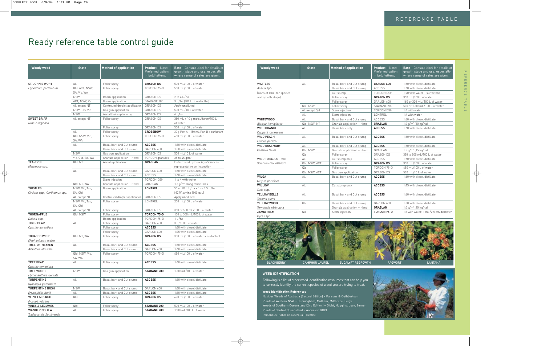



| <b>Woody weed</b>          | <b>State</b>   | <b>Method of application</b> | <b>Product - Note:</b><br>Preferred option<br>in bold letters. | Rate - Consult label for details of<br>growth stage and use, especially<br>where range of rates are given. |
|----------------------------|----------------|------------------------------|----------------------------------------------------------------|------------------------------------------------------------------------------------------------------------|
| <b>WATTLES</b>             | All            | Basal bark and Cut stump     | GARLON 600                                                     | 1:60 with diesel distillate                                                                                |
| Acacia spp.                |                | Basal bark and Cut stump     | <b>ACCESS</b>                                                  | 1:60 with diesel distillate                                                                                |
| (Consult label for species |                | Cut stump                    | <b>TORDON DSH</b>                                              | 1:20 with water + surfactant                                                                               |
| and growth stage)          |                | Foliar spray                 | <b>GRAZON DS</b>                                               | 350 mL/100 L of water                                                                                      |
|                            |                | Foliar spray                 | GARLON 600                                                     | 160 or 320 mL/100 L of water                                                                               |
|                            | Qld, NSW       | Foliar spray                 | STARANE 200                                                    | 500 or 1000 mL/100 L of water                                                                              |
|                            | All except Qld | Stem injection               | <b>TORDON DSH</b>                                              | 1:4 with water                                                                                             |
|                            | All            | Stem injection               | LONTREL                                                        | 1:4 with water                                                                                             |
| <b>WHITEWOOD</b>           | All            | Basal bark and Cut stump     | <b>ACCESS</b>                                                  | 1:60 with diesel distillate                                                                                |
| Atalaya hemiglauca         | Qld, NSW, NT   | Granule application - Hand   | <b>GRASLAN</b>                                                 | 1.0 $q/m^2$ (10 kg/ha)                                                                                     |
| <b>WILD ORANGE</b>         | All            | Basal bark only              | <b>ACCESS</b>                                                  | 1:60 with diesel distillate                                                                                |
| Capparis canescens         |                |                              |                                                                |                                                                                                            |
| <b>WILD PEACH</b>          | All            | Basal bark and Cut stump     | <b>ACCESS</b>                                                  | 1:60 with diesel distillate                                                                                |
| Prunus persica             |                |                              |                                                                |                                                                                                            |
| <b>WILD ROSEMARY</b>       | All            | Basal bark and Cut stump     | <b>ACCESS</b>                                                  | 1:60 with diesel distillate                                                                                |
| Cassinia laevis            | Qld, NSW       | Granule application - Hand   | GRASLAN                                                        | 1.5 $g/m^2$ (15 kg/ha)                                                                                     |
|                            | DIO            | Foliar spray                 | <b>GRAZON DS</b>                                               | 350 to 500 mL/100 L of water                                                                               |
| <b>WILD TOBACCO TREE</b>   | All            | Cut stump only               | <b>ACCESS</b>                                                  | 1:60 with diesel distillate                                                                                |
| Solanum mauritianum        | Qld, NSW, ACT  | Foliar spray                 | <b>GRAZON DS</b>                                               | 350 mL/100 L of water                                                                                      |
|                            | Qld            | Foliar spray                 | TORDON 75-D                                                    | 650 mL/100 L of water                                                                                      |
|                            | Qld, NSW, ACT  | Gas gun application          | <b>GRAZON DS</b>                                               | 500 mL/10 L of water                                                                                       |
| <b>WILGA</b>               | All            | Basal bark and Cut stump     | <b>ACCESS</b>                                                  | 1:60 with diesel distillate                                                                                |
| Geijera parviflora         |                |                              |                                                                |                                                                                                            |
| <b>WILLOW</b>              | All            | Cut stump only               | <b>ACCESS</b>                                                  | 1:15 with diesel distillate                                                                                |
| Salix spp.                 |                |                              |                                                                |                                                                                                            |
| YELLOW BELLS               | All            | Basal bark and Cut stump     | <b>ACCESS</b>                                                  | 1:60 with diesel distillate                                                                                |
| Tecoma stans               |                |                              |                                                                |                                                                                                            |
| YELLOW WOOD                | Qld            | Basal bark and Cut stump     | GARLON 600                                                     | 1:30 with diesel distillate                                                                                |
| Terminalia oblongata       |                | Granule application - Hand   | <b>GRASLAN</b>                                                 | 1.0 g/m <sup>2</sup> (10 kg/ha)                                                                            |
| <b>ZAMIA PALM</b>          | Qld            | Stem injection               | <b>TORDON 75-D</b>                                             | 1:3 with water: 1 mL/2.5 cm diameter                                                                       |
| Cycas spp.                 |                |                              |                                                                |                                                                                                            |

| <b>Woody weed</b>                               | <b>State</b>                  | <b>Method of application</b>   | <b>Product - Note:</b><br>Preferred option<br>in bold letters. | Rate - Consult label for details of<br>growth stage and use, especially<br>where range of rates are given. |
|-------------------------------------------------|-------------------------------|--------------------------------|----------------------------------------------------------------|------------------------------------------------------------------------------------------------------------|
| ST. JOHN'S WORT                                 | All                           | Foliar spray                   | <b>GRAZON DS</b>                                               | 500 mL/100 L of water                                                                                      |
| Hypericum perforatum                            | Qld, ACT, NSW,<br>SA, Vic, WA | Foliar spray                   | TORDON 75-D                                                    | 500 mL/100 L of water                                                                                      |
|                                                 | <b>NSW</b>                    | Boom application               | <b>GRAZON DS</b>                                               | 2 to $4 L/ha$                                                                                              |
|                                                 | ACT, NSW, Vic                 | Boom application               | STARANE 200                                                    | 3 L/ha (200 L of water/ha)                                                                                 |
|                                                 | All except NT                 | Controlled droplet application | <b>GRAZON DS</b>                                               | Apply undiluted                                                                                            |
|                                                 | NSW, Tas, Vic                 | Gas gun application            | <b>GRAZON DS</b>                                               | 500 mL/10 L of water                                                                                       |
|                                                 | <b>NSW</b>                    | Aerial (helicopter only)       | <b>GRAZON DS</b>                                               | $4$ L/ha                                                                                                   |
| <b>SWEET BRIAR</b>                              | All except NT                 | Foliar spray                   | <b>GRAZON DS</b>                                               | 350 mL + 10 g metsulfuron/100 L                                                                            |
| Rosa rubiginosa                                 |                               |                                |                                                                | of water                                                                                                   |
|                                                 |                               | Foliar spray                   | <b>GRAZON DS</b>                                               | 500 mL/100 L of water                                                                                      |
|                                                 | All                           | Foliar spray                   | <b>CROSSBOW</b>                                                | 30 g Part A + 150 mL Part B + surfactant                                                                   |
|                                                 | Qld, NSW, Vic,<br>SA, WA      | Foliar spray                   | TORDON 75-D                                                    | 650 mL/100 L of water                                                                                      |
|                                                 | All                           | Basal bark and Cut stump       | <b>ACCESS</b>                                                  | 1:60 with diesel distillate                                                                                |
|                                                 |                               | Basal bark and Cut stump       | GARLON 600                                                     | 1:30 with diesel distillate                                                                                |
|                                                 | <b>NSW</b>                    | Gas gun application            | <b>GRAZON DS</b>                                               | 500 mL/10 L of water                                                                                       |
|                                                 | Vic, Qld, SA, WA              | Granule application - Hand     | TORDON granules                                                | 35 to 45 $q/m^2$                                                                                           |
| <b>TEA-TREE</b><br>Melaleuca spp.               | Qld, NT                       | Aerial application             | <b>GRASLAN</b>                                                 | Determined by Dow AgroSciences<br>representative on inspection                                             |
|                                                 | All                           | Basal bark and Cut stump       | GARLON 600                                                     | 1:60 with diesel distillate                                                                                |
|                                                 |                               | Basal bark and Cut stump       | <b>ACCESS</b>                                                  | 1:60 with diesel distillate                                                                                |
|                                                 |                               | Stem injection                 | TORDON DSH                                                     | 1 to 4 with water                                                                                          |
|                                                 | Qld, NT, WA                   | Granule application - Hand     | GRASLAN                                                        | 1.5 g/m <sup>2</sup> along fence lines                                                                     |
| <b>THISTLES</b><br>Cirsium spp., Carthamus spp. | NSW, Vic, Tas,<br>SA, Qld     | Boom application               | <b>LONTREL</b>                                                 | 50 or 70 mL/ha + 1 or 1.5 L/ha<br>MCPA amine (500 g/L)                                                     |
|                                                 | All except NT                 | Controlled droplet application | <b>GRAZON DS</b>                                               | Apply undiluted                                                                                            |
|                                                 | NSW, Vic, Tas,<br>SA, Qld     | Foliar spray                   | LONTREL                                                        | 250 mL/100 L of water                                                                                      |
|                                                 | All except NT                 | Foliar spray                   | <b>GRAZON DS</b>                                               | 350 or 500 mL/100 L of water                                                                               |
| THORNAPPLE                                      | Qld, NSW                      | Foliar spray                   | TORDON 75-D                                                    | 150 to 300 mL/100 L of water                                                                               |
| Datura spp.                                     |                               | Boom application               | TORDON 75-D                                                    | 1 L/ha                                                                                                     |
| <b>TIGER PEAR</b>                               | All                           | Foliar spray                   | GARLON 600                                                     | 3 L/100 L of water                                                                                         |
| Opuntia aurantiaca                              |                               | Foliar spray                   | <b>ACCESS</b>                                                  | 1:60 with diesel distillate                                                                                |
|                                                 |                               | Foliar spray                   | GARLON 600                                                     | 1:75 with diesel distillate                                                                                |
| <b>TOBACCO WEED</b><br>Elephantopus scaber      | Qld, NT, WA                   | Foliar spray                   | <b>GRAZON DS</b>                                               | 300 mL/100 L of water + surfactant                                                                         |
| TREE-OF-HEAVEN                                  | All                           | Basal bark and Cut stump       | <b>ACCESS</b>                                                  | 1:60 with diesel distillate                                                                                |
| Ailanthus altissima                             |                               | Basal bark and Cut stump       | GARLON 600                                                     | 1:60 with diesel distillate                                                                                |
|                                                 | Qld, NSW, Vic,<br>SA, WA      | Foliar spray                   | TORDON 75-D                                                    | 650 mL/100 L of water                                                                                      |
| <b>TREE PEAR</b>                                | All                           | Foliar spray                   | <b>ACCESS</b>                                                  | 1:60 with diesel distillate                                                                                |
| Opuntia tomentosa                               |                               |                                |                                                                |                                                                                                            |
| TREE VIOLET                                     | <b>NSW</b>                    | Gas gun application            | <b>STARANE 200</b>                                             | 1000 mL/10 L of water                                                                                      |
| Hymenanthera dentata                            |                               |                                |                                                                |                                                                                                            |
| <b>TURPENTINE</b><br>Syncarpia glomulifera      | All                           | Basal bark and Cut stump       | <b>ACCESS</b>                                                  | 1:60 with diesel distillate                                                                                |
| <b>TURPENTINE BUSH</b>                          | <b>NSW</b>                    | Basal bark and Cut stump       | GARLON 600                                                     | 1:60 with diesel distillate                                                                                |
| Eremophila sturtii                              | All                           | Basal bark and Cut stump       | <b>ACCESS</b>                                                  | 1:60 with diesel distillate                                                                                |
| <b>VELVET MESQUITE</b>                          | Qld                           | Foliar spray                   | <b>GRAZON DS</b>                                               | 670 mL/100 L of water                                                                                      |
| Prosopis velutina                               |                               |                                |                                                                |                                                                                                            |
| <b>VINES &amp; LEGUMES</b>                      | Qld                           | Foliar spray                   | <b>STARANE 200</b>                                             | 500 mL/100 L of water                                                                                      |
| <b>WANDERING JEW</b>                            | All                           | Foliar spray                   | <b>STARANE 200</b>                                             | 1500 mL/100 L of water                                                                                     |
| Tradescantia fluminensis                        |                               |                                |                                                                |                                                                                                            |

### **Weed Identification References**

Noxious Weeds of Australia (Second Edition) – Parsons & Cuthbertson Plants of Western NSW – Cunningham, Mulham, Milthorpe, Leigh Weeds of Southern Queensland (2nd Edition) – Dight, Huggins, Lucy, Zerner Plants of Central Queensland – Anderson QDPI Poisonous Plants of Australia – Everist

### **WEED IDENTIFICATION**

Following is a list of other weed identification resources that can help you to correctly identify the correct species of weed you are trying to treat.

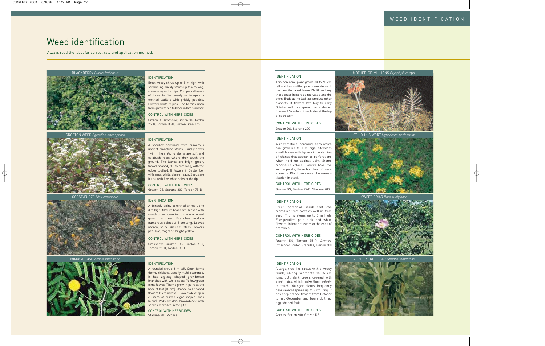### Weed identification



GORSE/FURZE *Ulex europaeus*





### IDENTIFICATION

Erect woody shrub up to 5 m high, with scrambling prickly stems up to 6 m long, stems may root at tips. Compound leaves of three to five evenly or irregularly toothed leaflets with prickly petioles. Flowers white to pink. The berries ripen from green to red to black in late summer.

### CONTROL WITH HERBICIDES

Grazon DS, Crossbow, Garlon 600, Tordon 75-D, Tordon DSH, Tordon Granules

#### **IDENTIFICATION**



CROFTON WEED *Ageratina adenophora*

### IDENTIFICATION

A rounded shrub 3 m tall. Often forms thorny thickets, usually multi-stemmed. It has zig-zag shaped grey-brown branches with white spots. Yellow/green ferny leaves. Thorns grow in pairs at the base of leaf (10 cm). Orange ball-shaped flowers (1 cm across). Flowers develop in clusters of curved cigar-shaped pods (6 cm). Pods are dark brown/black, with seeds embedded in the pith.

CONTROL WITH HERBICIDES Starane 200, Access

A shrubby perennial with numerous upright branching stems, usually grows 1–2 m high. Young stems are soft and establish roots where they touch the ground. The leaves are bright green, trowel-shaped, 50–75 mm long, with the edges toothed. It flowers in September with small white, dense heads. Seeds are black, with fine white hairs at the tip.

CONTROL WITH HERBICIDES Grazon DS, Starane 200, Tordon 75-D

#### **IDENTIFICATION**

A densely-spiny perennial shrub up to 3 m high. Mature branches, leaves with rough brown covering but more recent growth is green. Branches produce numerous spines 2–3 cm long. Leaves narrow, spine-like in clusters. Flowers pea-like, fragrant, bright yellow.

#### CONTROL WITH HERBICIDES

Crossbow, Grazon DS, Garlon 600, To rdon 75-D, Tordon DSH

Always read the label for correct rate and application method.



ST. JOHN'S WORT *Hypericum perforatum*





VELVETY TREE PEAR *Opuntia tomentosa*



### IDENTIFICATION

A rhizomatous, perennial herb which can grow up to 1 m high. Stemless small leaves with hypericin containing oil glands that appear as perforations when held up against light. Stems reddish in colour. Flowers have five yellow petals, three bunches of many stamens. Plant can cause photosensitisation in stock.

CONTROL WITH HERBICIDES

Grazon DS, Tordon 75-D, Starane 200

### IDENTIFICATION

Erect, perennial shrub that can reproduce from roots as well as from seed. Thorny stems up to 3 m high. Five-petalled pale pink and white flowers, in loose clusters at the ends of brambles.

#### CONTROL WITH HERBICIDES

Grazon DS, Tordon 75-D, Access, Crossbow, Tordon Granules, Garlon 600

### IDENTIFICATION

A large, tree-like cactus with a woody trunk; oblong segments 15–35 cm long, dull, dark green, covered with short hairs, which make them velvety to touch. Younger plants frequently bear several spines up to 3 cm long. It has deep orange flowers from October to mid-December and bears dull red egg-shaped fruit.

CONTROL WITH HERBICIDES Access, Garlon 600, Grazon DS



### IDENTIFICATION

This perennial plant grows 30 to 60 cm tall and has mottled pale green stems. It has pencil-shaped leaves (3–10 cm long) that appear in pairs at intervals along the stem. Buds at the leaf tips produce other plantlets. It flowers late May to early October with orange-red bell- shaped flowers 2.5 cm long in a cluster at the top of each stem.

#### CONTROL WITH HERBICIDES

Grazon DS, Starane 200